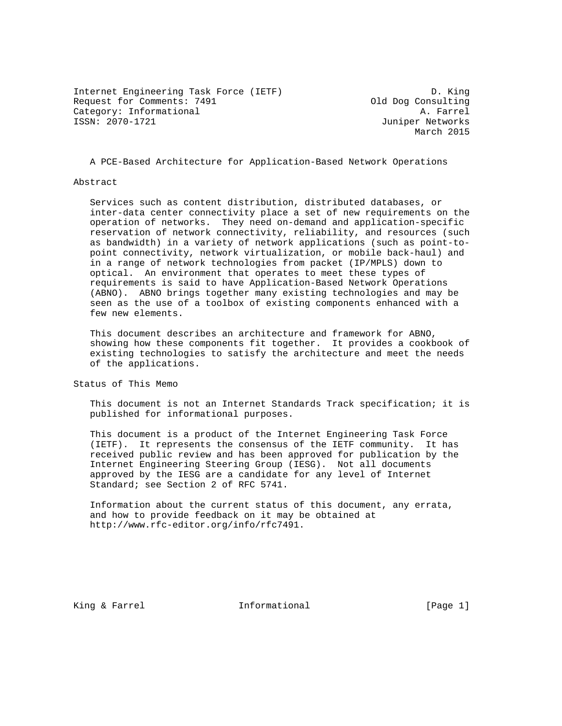Internet Engineering Task Force (IETF) D. King Request for Comments: 7491 (attegory: Informational parameters) and Dog Consulting Category: Informational Category: Informational<br>ISSN: 2070-1721

Juniper Networks March 2015

A PCE-Based Architecture for Application-Based Network Operations

#### Abstract

 Services such as content distribution, distributed databases, or inter-data center connectivity place a set of new requirements on the operation of networks. They need on-demand and application-specific reservation of network connectivity, reliability, and resources (such as bandwidth) in a variety of network applications (such as point-to point connectivity, network virtualization, or mobile back-haul) and in a range of network technologies from packet (IP/MPLS) down to optical. An environment that operates to meet these types of requirements is said to have Application-Based Network Operations (ABNO). ABNO brings together many existing technologies and may be seen as the use of a toolbox of existing components enhanced with a few new elements.

 This document describes an architecture and framework for ABNO, showing how these components fit together. It provides a cookbook of existing technologies to satisfy the architecture and meet the needs of the applications.

Status of This Memo

 This document is not an Internet Standards Track specification; it is published for informational purposes.

 This document is a product of the Internet Engineering Task Force (IETF). It represents the consensus of the IETF community. It has received public review and has been approved for publication by the Internet Engineering Steering Group (IESG). Not all documents approved by the IESG are a candidate for any level of Internet Standard; see Section 2 of RFC 5741.

 Information about the current status of this document, any errata, and how to provide feedback on it may be obtained at http://www.rfc-editor.org/info/rfc7491.

King & Farrel **Informational** [Page 1]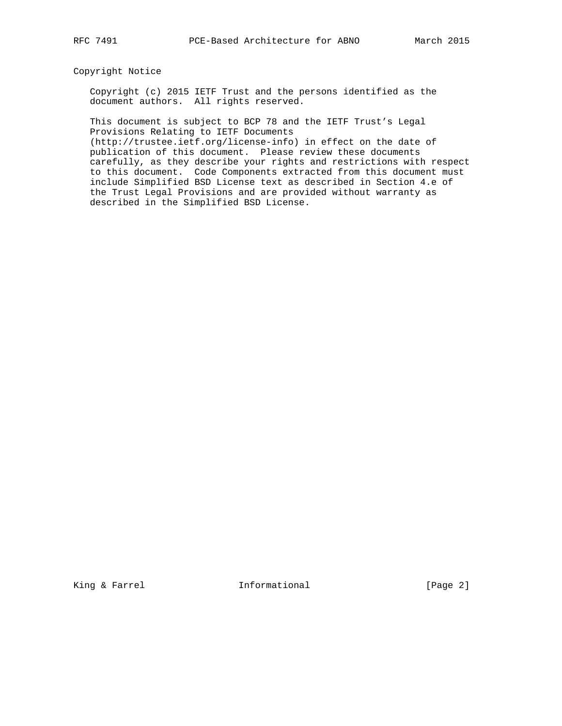# Copyright Notice

 Copyright (c) 2015 IETF Trust and the persons identified as the document authors. All rights reserved.

 This document is subject to BCP 78 and the IETF Trust's Legal Provisions Relating to IETF Documents

 (http://trustee.ietf.org/license-info) in effect on the date of publication of this document. Please review these documents carefully, as they describe your rights and restrictions with respect to this document. Code Components extracted from this document must include Simplified BSD License text as described in Section 4.e of the Trust Legal Provisions and are provided without warranty as described in the Simplified BSD License.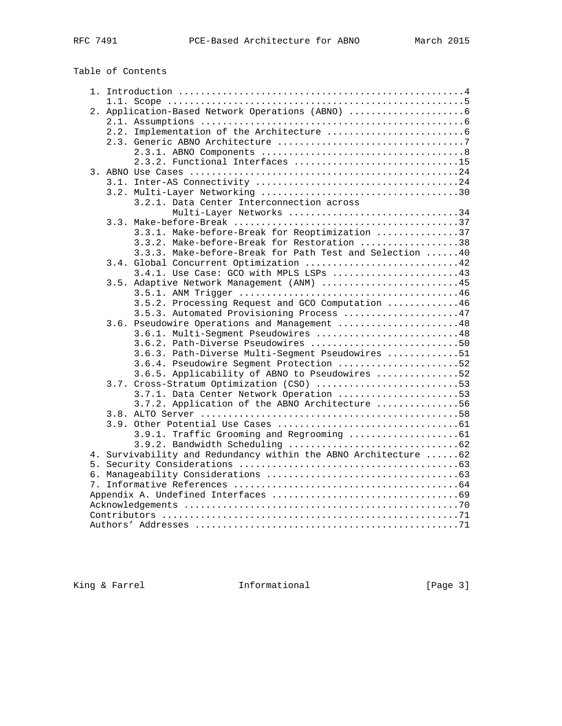# Table of Contents

| 2. Application-Based Network Operations (ABNO)                   |  |  |  |  |  |  |  |  |
|------------------------------------------------------------------|--|--|--|--|--|--|--|--|
|                                                                  |  |  |  |  |  |  |  |  |
|                                                                  |  |  |  |  |  |  |  |  |
|                                                                  |  |  |  |  |  |  |  |  |
|                                                                  |  |  |  |  |  |  |  |  |
| 2.3.2. Functional Interfaces 15                                  |  |  |  |  |  |  |  |  |
|                                                                  |  |  |  |  |  |  |  |  |
|                                                                  |  |  |  |  |  |  |  |  |
|                                                                  |  |  |  |  |  |  |  |  |
| 3.2.1. Data Center Interconnection across                        |  |  |  |  |  |  |  |  |
| Multi-Layer Networks 34                                          |  |  |  |  |  |  |  |  |
|                                                                  |  |  |  |  |  |  |  |  |
| 3.3.1. Make-before-Break for Reoptimization 37                   |  |  |  |  |  |  |  |  |
| 3.3.2. Make-before-Break for Restoration 38                      |  |  |  |  |  |  |  |  |
| 3.3.3. Make-before-Break for Path Test and Selection  40         |  |  |  |  |  |  |  |  |
| 3.4. Global Concurrent Optimization 42                           |  |  |  |  |  |  |  |  |
| 3.4.1. Use Case: GCO with MPLS LSPs 43                           |  |  |  |  |  |  |  |  |
| 3.5. Adaptive Network Management (ANM) 45                        |  |  |  |  |  |  |  |  |
|                                                                  |  |  |  |  |  |  |  |  |
| 3.5.2. Processing Request and GCO Computation 46                 |  |  |  |  |  |  |  |  |
| 3.5.3. Automated Provisioning Process 47                         |  |  |  |  |  |  |  |  |
| 3.6. Pseudowire Operations and Management 48                     |  |  |  |  |  |  |  |  |
| 3.6.1. Multi-Seqment Pseudowires 48                              |  |  |  |  |  |  |  |  |
| 3.6.2. Path-Diverse Pseudowires 50                               |  |  |  |  |  |  |  |  |
| 3.6.3. Path-Diverse Multi-Segment Pseudowires 51                 |  |  |  |  |  |  |  |  |
| 3.6.4. Pseudowire Segment Protection 52                          |  |  |  |  |  |  |  |  |
| 3.6.5. Applicability of ABNO to Pseudowires 52                   |  |  |  |  |  |  |  |  |
| 3.7. Cross-Stratum Optimization (CSO) 53                         |  |  |  |  |  |  |  |  |
| 3.7.1. Data Center Network Operation 53                          |  |  |  |  |  |  |  |  |
| 3.7.2. Application of the ABNO Architecture 56                   |  |  |  |  |  |  |  |  |
|                                                                  |  |  |  |  |  |  |  |  |
|                                                                  |  |  |  |  |  |  |  |  |
|                                                                  |  |  |  |  |  |  |  |  |
|                                                                  |  |  |  |  |  |  |  |  |
| 4. Survivability and Redundancy within the ABNO Architecture  62 |  |  |  |  |  |  |  |  |
|                                                                  |  |  |  |  |  |  |  |  |
|                                                                  |  |  |  |  |  |  |  |  |
|                                                                  |  |  |  |  |  |  |  |  |
|                                                                  |  |  |  |  |  |  |  |  |
|                                                                  |  |  |  |  |  |  |  |  |
|                                                                  |  |  |  |  |  |  |  |  |
|                                                                  |  |  |  |  |  |  |  |  |

King & Farrel **Informational** [Page 3]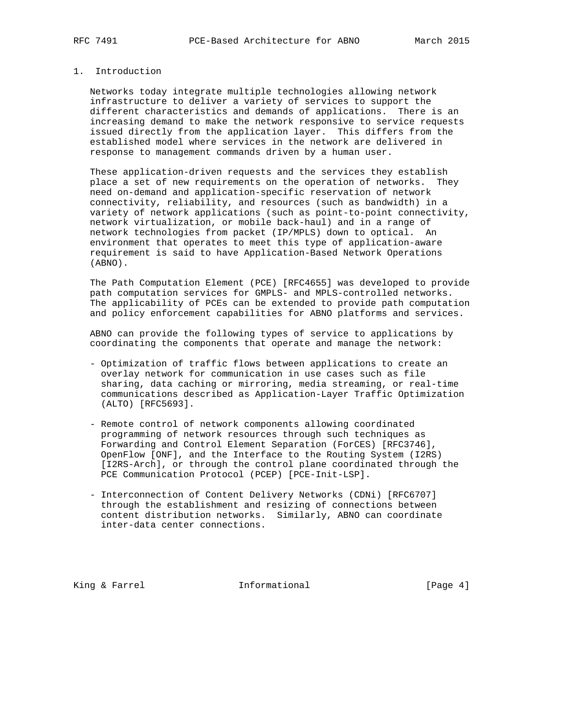# 1. Introduction

 Networks today integrate multiple technologies allowing network infrastructure to deliver a variety of services to support the different characteristics and demands of applications. There is an increasing demand to make the network responsive to service requests issued directly from the application layer. This differs from the established model where services in the network are delivered in response to management commands driven by a human user.

 These application-driven requests and the services they establish place a set of new requirements on the operation of networks. They need on-demand and application-specific reservation of network connectivity, reliability, and resources (such as bandwidth) in a variety of network applications (such as point-to-point connectivity, network virtualization, or mobile back-haul) and in a range of network technologies from packet (IP/MPLS) down to optical. An environment that operates to meet this type of application-aware requirement is said to have Application-Based Network Operations (ABNO).

 The Path Computation Element (PCE) [RFC4655] was developed to provide path computation services for GMPLS- and MPLS-controlled networks. The applicability of PCEs can be extended to provide path computation and policy enforcement capabilities for ABNO platforms and services.

 ABNO can provide the following types of service to applications by coordinating the components that operate and manage the network:

- Optimization of traffic flows between applications to create an overlay network for communication in use cases such as file sharing, data caching or mirroring, media streaming, or real-time communications described as Application-Layer Traffic Optimization (ALTO) [RFC5693].
- Remote control of network components allowing coordinated programming of network resources through such techniques as Forwarding and Control Element Separation (ForCES) [RFC3746], OpenFlow [ONF], and the Interface to the Routing System (I2RS) [I2RS-Arch], or through the control plane coordinated through the PCE Communication Protocol (PCEP) [PCE-Init-LSP].
- Interconnection of Content Delivery Networks (CDNi) [RFC6707] through the establishment and resizing of connections between content distribution networks. Similarly, ABNO can coordinate inter-data center connections.

King & Farrel **Informational** [Page 4]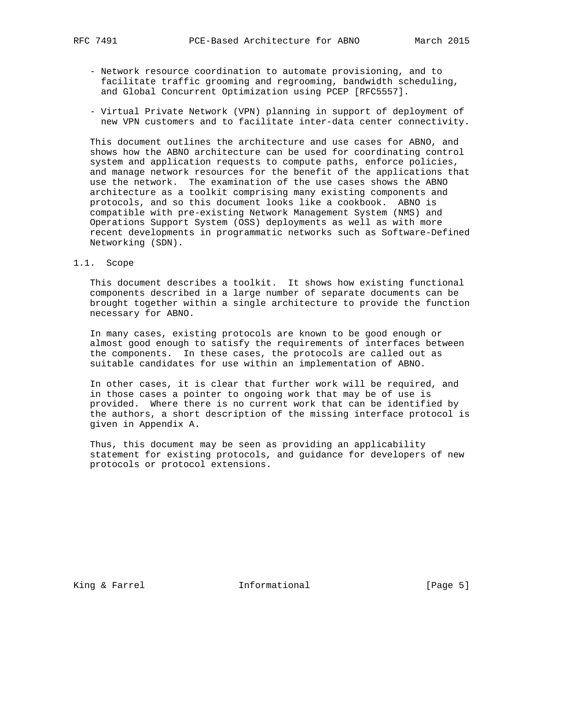- Network resource coordination to automate provisioning, and to facilitate traffic grooming and regrooming, bandwidth scheduling, and Global Concurrent Optimization using PCEP [RFC5557].
- Virtual Private Network (VPN) planning in support of deployment of new VPN customers and to facilitate inter-data center connectivity.

 This document outlines the architecture and use cases for ABNO, and shows how the ABNO architecture can be used for coordinating control system and application requests to compute paths, enforce policies, and manage network resources for the benefit of the applications that use the network. The examination of the use cases shows the ABNO architecture as a toolkit comprising many existing components and protocols, and so this document looks like a cookbook. ABNO is compatible with pre-existing Network Management System (NMS) and Operations Support System (OSS) deployments as well as with more recent developments in programmatic networks such as Software-Defined Networking (SDN).

1.1. Scope

 This document describes a toolkit. It shows how existing functional components described in a large number of separate documents can be brought together within a single architecture to provide the function necessary for ABNO.

 In many cases, existing protocols are known to be good enough or almost good enough to satisfy the requirements of interfaces between the components. In these cases, the protocols are called out as suitable candidates for use within an implementation of ABNO.

 In other cases, it is clear that further work will be required, and in those cases a pointer to ongoing work that may be of use is provided. Where there is no current work that can be identified by the authors, a short description of the missing interface protocol is given in Appendix A.

 Thus, this document may be seen as providing an applicability statement for existing protocols, and guidance for developers of new protocols or protocol extensions.

King & Farrel **Informational** [Page 5]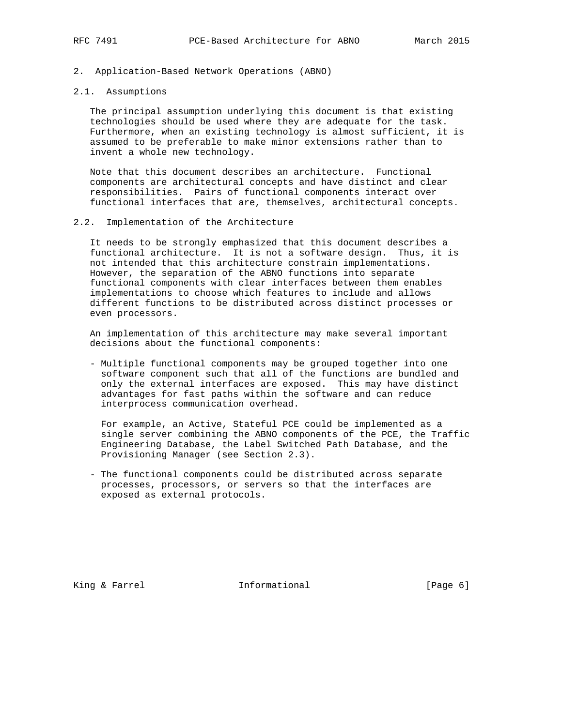2. Application-Based Network Operations (ABNO)

#### 2.1. Assumptions

 The principal assumption underlying this document is that existing technologies should be used where they are adequate for the task. Furthermore, when an existing technology is almost sufficient, it is assumed to be preferable to make minor extensions rather than to invent a whole new technology.

 Note that this document describes an architecture. Functional components are architectural concepts and have distinct and clear responsibilities. Pairs of functional components interact over functional interfaces that are, themselves, architectural concepts.

#### 2.2. Implementation of the Architecture

 It needs to be strongly emphasized that this document describes a functional architecture. It is not a software design. Thus, it is not intended that this architecture constrain implementations. However, the separation of the ABNO functions into separate functional components with clear interfaces between them enables implementations to choose which features to include and allows different functions to be distributed across distinct processes or even processors.

 An implementation of this architecture may make several important decisions about the functional components:

 - Multiple functional components may be grouped together into one software component such that all of the functions are bundled and only the external interfaces are exposed. This may have distinct advantages for fast paths within the software and can reduce interprocess communication overhead.

 For example, an Active, Stateful PCE could be implemented as a single server combining the ABNO components of the PCE, the Traffic Engineering Database, the Label Switched Path Database, and the Provisioning Manager (see Section 2.3).

 - The functional components could be distributed across separate processes, processors, or servers so that the interfaces are exposed as external protocols.

King & Farrel **Informational** [Page 6]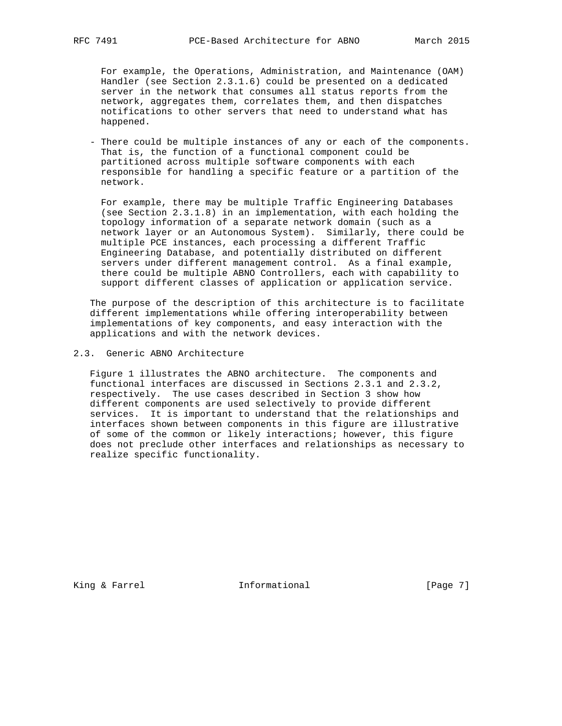For example, the Operations, Administration, and Maintenance (OAM) Handler (see Section 2.3.1.6) could be presented on a dedicated server in the network that consumes all status reports from the network, aggregates them, correlates them, and then dispatches notifications to other servers that need to understand what has happened.

 - There could be multiple instances of any or each of the components. That is, the function of a functional component could be partitioned across multiple software components with each responsible for handling a specific feature or a partition of the network.

 For example, there may be multiple Traffic Engineering Databases (see Section 2.3.1.8) in an implementation, with each holding the topology information of a separate network domain (such as a network layer or an Autonomous System). Similarly, there could be multiple PCE instances, each processing a different Traffic Engineering Database, and potentially distributed on different servers under different management control. As a final example, there could be multiple ABNO Controllers, each with capability to support different classes of application or application service.

 The purpose of the description of this architecture is to facilitate different implementations while offering interoperability between implementations of key components, and easy interaction with the applications and with the network devices.

2.3. Generic ABNO Architecture

 Figure 1 illustrates the ABNO architecture. The components and functional interfaces are discussed in Sections 2.3.1 and 2.3.2, respectively. The use cases described in Section 3 show how different components are used selectively to provide different services. It is important to understand that the relationships and interfaces shown between components in this figure are illustrative of some of the common or likely interactions; however, this figure does not preclude other interfaces and relationships as necessary to realize specific functionality.

King & Farrel **Informational** [Page 7]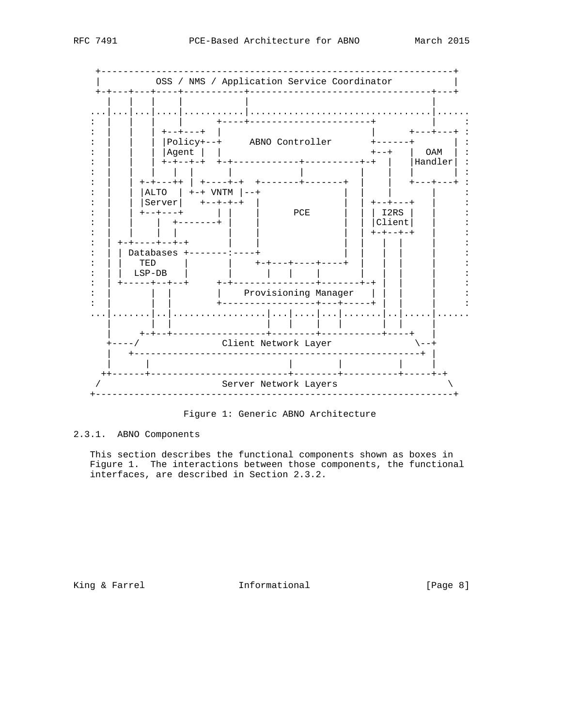

Figure 1: Generic ABNO Architecture

2.3.1. ABNO Components

This section describes the functional components shown as boxes in Figure 1. The interactions between those components, the functional interfaces, are described in Section 2.3.2.

King & Farrel Thformational

[Page 8]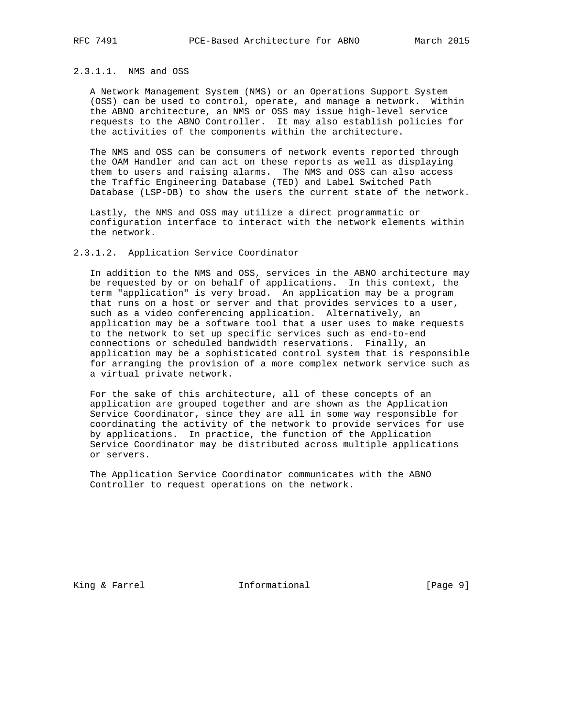# 2.3.1.1. NMS and OSS

 A Network Management System (NMS) or an Operations Support System (OSS) can be used to control, operate, and manage a network. Within the ABNO architecture, an NMS or OSS may issue high-level service requests to the ABNO Controller. It may also establish policies for the activities of the components within the architecture.

 The NMS and OSS can be consumers of network events reported through the OAM Handler and can act on these reports as well as displaying them to users and raising alarms. The NMS and OSS can also access the Traffic Engineering Database (TED) and Label Switched Path Database (LSP-DB) to show the users the current state of the network.

 Lastly, the NMS and OSS may utilize a direct programmatic or configuration interface to interact with the network elements within the network.

### 2.3.1.2. Application Service Coordinator

 In addition to the NMS and OSS, services in the ABNO architecture may be requested by or on behalf of applications. In this context, the term "application" is very broad. An application may be a program that runs on a host or server and that provides services to a user, such as a video conferencing application. Alternatively, an application may be a software tool that a user uses to make requests to the network to set up specific services such as end-to-end connections or scheduled bandwidth reservations. Finally, an application may be a sophisticated control system that is responsible for arranging the provision of a more complex network service such as a virtual private network.

 For the sake of this architecture, all of these concepts of an application are grouped together and are shown as the Application Service Coordinator, since they are all in some way responsible for coordinating the activity of the network to provide services for use by applications. In practice, the function of the Application Service Coordinator may be distributed across multiple applications or servers.

 The Application Service Coordinator communicates with the ABNO Controller to request operations on the network.

King & Farrel **Informational** [Page 9]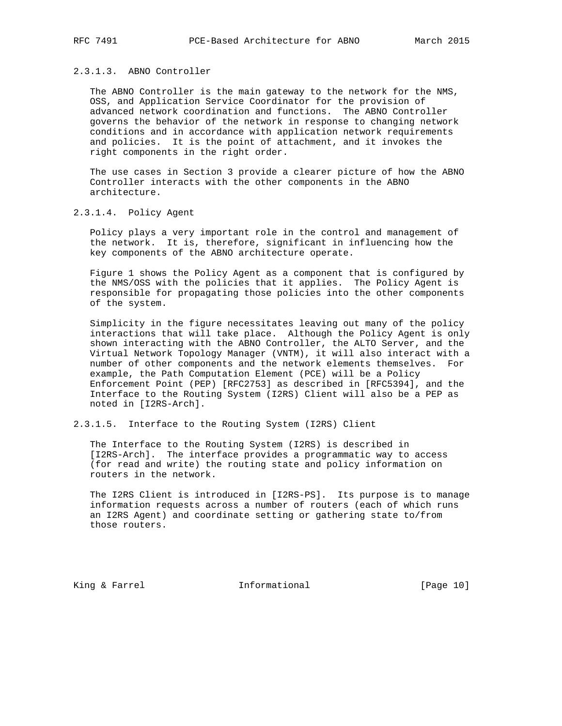# 2.3.1.3. ABNO Controller

 The ABNO Controller is the main gateway to the network for the NMS, OSS, and Application Service Coordinator for the provision of advanced network coordination and functions. The ABNO Controller governs the behavior of the network in response to changing network conditions and in accordance with application network requirements and policies. It is the point of attachment, and it invokes the right components in the right order.

 The use cases in Section 3 provide a clearer picture of how the ABNO Controller interacts with the other components in the ABNO architecture.

#### 2.3.1.4. Policy Agent

 Policy plays a very important role in the control and management of the network. It is, therefore, significant in influencing how the key components of the ABNO architecture operate.

 Figure 1 shows the Policy Agent as a component that is configured by the NMS/OSS with the policies that it applies. The Policy Agent is responsible for propagating those policies into the other components of the system.

 Simplicity in the figure necessitates leaving out many of the policy interactions that will take place. Although the Policy Agent is only shown interacting with the ABNO Controller, the ALTO Server, and the Virtual Network Topology Manager (VNTM), it will also interact with a number of other components and the network elements themselves. For example, the Path Computation Element (PCE) will be a Policy Enforcement Point (PEP) [RFC2753] as described in [RFC5394], and the Interface to the Routing System (I2RS) Client will also be a PEP as noted in [I2RS-Arch].

2.3.1.5. Interface to the Routing System (I2RS) Client

 The Interface to the Routing System (I2RS) is described in [I2RS-Arch]. The interface provides a programmatic way to access (for read and write) the routing state and policy information on routers in the network.

 The I2RS Client is introduced in [I2RS-PS]. Its purpose is to manage information requests across a number of routers (each of which runs an I2RS Agent) and coordinate setting or gathering state to/from those routers.

King & Farrel **Informational** [Page 10]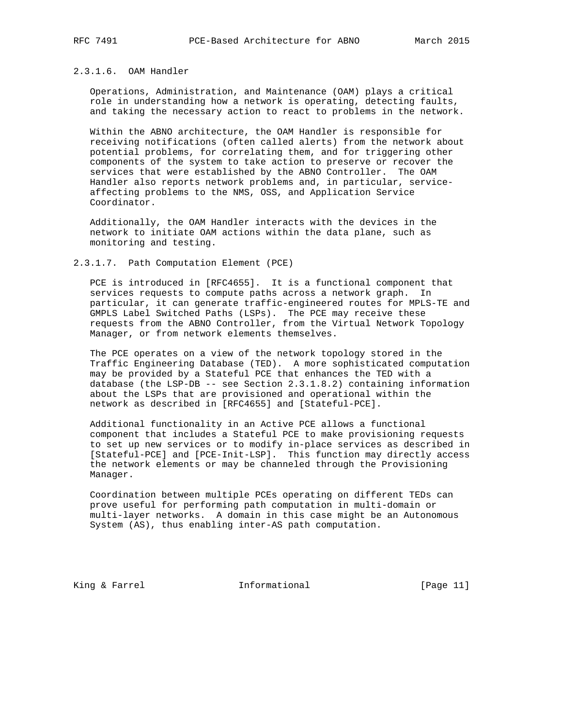# 2.3.1.6. OAM Handler

 Operations, Administration, and Maintenance (OAM) plays a critical role in understanding how a network is operating, detecting faults, and taking the necessary action to react to problems in the network.

 Within the ABNO architecture, the OAM Handler is responsible for receiving notifications (often called alerts) from the network about potential problems, for correlating them, and for triggering other components of the system to take action to preserve or recover the services that were established by the ABNO Controller. The OAM Handler also reports network problems and, in particular, service affecting problems to the NMS, OSS, and Application Service Coordinator.

 Additionally, the OAM Handler interacts with the devices in the network to initiate OAM actions within the data plane, such as monitoring and testing.

#### 2.3.1.7. Path Computation Element (PCE)

 PCE is introduced in [RFC4655]. It is a functional component that services requests to compute paths across a network graph. In particular, it can generate traffic-engineered routes for MPLS-TE and GMPLS Label Switched Paths (LSPs). The PCE may receive these requests from the ABNO Controller, from the Virtual Network Topology Manager, or from network elements themselves.

 The PCE operates on a view of the network topology stored in the Traffic Engineering Database (TED). A more sophisticated computation may be provided by a Stateful PCE that enhances the TED with a database (the LSP-DB -- see Section 2.3.1.8.2) containing information about the LSPs that are provisioned and operational within the network as described in [RFC4655] and [Stateful-PCE].

 Additional functionality in an Active PCE allows a functional component that includes a Stateful PCE to make provisioning requests to set up new services or to modify in-place services as described in [Stateful-PCE] and [PCE-Init-LSP]. This function may directly access the network elements or may be channeled through the Provisioning Manager.

 Coordination between multiple PCEs operating on different TEDs can prove useful for performing path computation in multi-domain or multi-layer networks. A domain in this case might be an Autonomous System (AS), thus enabling inter-AS path computation.

King & Farrel **Informational** [Page 11]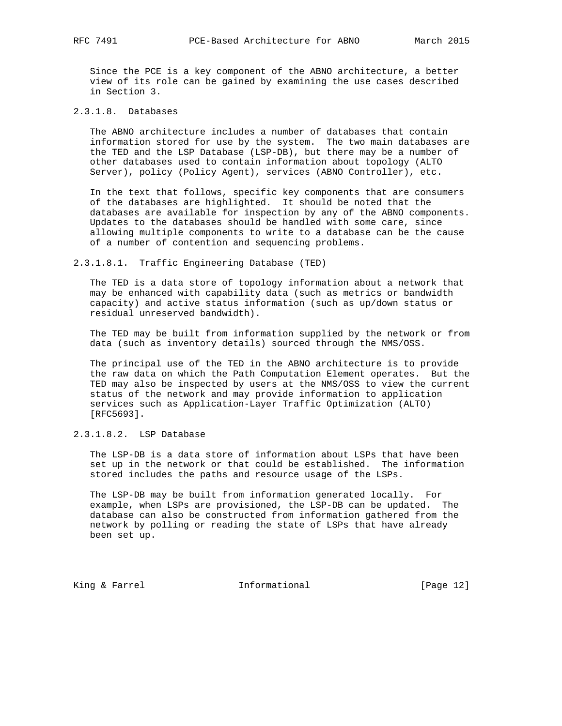Since the PCE is a key component of the ABNO architecture, a better view of its role can be gained by examining the use cases described in Section 3.

2.3.1.8. Databases

 The ABNO architecture includes a number of databases that contain information stored for use by the system. The two main databases are the TED and the LSP Database (LSP-DB), but there may be a number of other databases used to contain information about topology (ALTO Server), policy (Policy Agent), services (ABNO Controller), etc.

 In the text that follows, specific key components that are consumers of the databases are highlighted. It should be noted that the databases are available for inspection by any of the ABNO components. Updates to the databases should be handled with some care, since allowing multiple components to write to a database can be the cause of a number of contention and sequencing problems.

2.3.1.8.1. Traffic Engineering Database (TED)

 The TED is a data store of topology information about a network that may be enhanced with capability data (such as metrics or bandwidth capacity) and active status information (such as up/down status or residual unreserved bandwidth).

 The TED may be built from information supplied by the network or from data (such as inventory details) sourced through the NMS/OSS.

 The principal use of the TED in the ABNO architecture is to provide the raw data on which the Path Computation Element operates. But the TED may also be inspected by users at the NMS/OSS to view the current status of the network and may provide information to application services such as Application-Layer Traffic Optimization (ALTO) [RFC5693].

2.3.1.8.2. LSP Database

 The LSP-DB is a data store of information about LSPs that have been set up in the network or that could be established. The information stored includes the paths and resource usage of the LSPs.

 The LSP-DB may be built from information generated locally. For example, when LSPs are provisioned, the LSP-DB can be updated. The database can also be constructed from information gathered from the network by polling or reading the state of LSPs that have already been set up.

King & Farrel **Informational** [Page 12]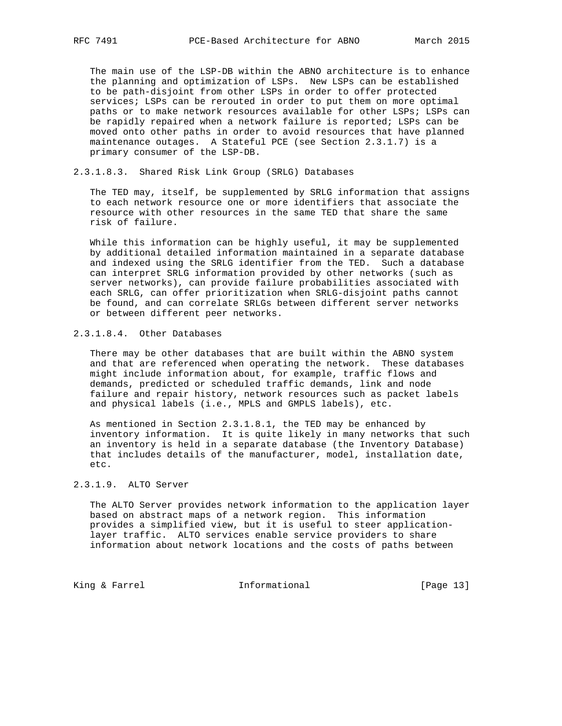The main use of the LSP-DB within the ABNO architecture is to enhance the planning and optimization of LSPs. New LSPs can be established to be path-disjoint from other LSPs in order to offer protected services; LSPs can be rerouted in order to put them on more optimal paths or to make network resources available for other LSPs; LSPs can be rapidly repaired when a network failure is reported; LSPs can be moved onto other paths in order to avoid resources that have planned maintenance outages. A Stateful PCE (see Section 2.3.1.7) is a primary consumer of the LSP-DB.

#### 2.3.1.8.3. Shared Risk Link Group (SRLG) Databases

 The TED may, itself, be supplemented by SRLG information that assigns to each network resource one or more identifiers that associate the resource with other resources in the same TED that share the same risk of failure.

 While this information can be highly useful, it may be supplemented by additional detailed information maintained in a separate database and indexed using the SRLG identifier from the TED. Such a database can interpret SRLG information provided by other networks (such as server networks), can provide failure probabilities associated with each SRLG, can offer prioritization when SRLG-disjoint paths cannot be found, and can correlate SRLGs between different server networks or between different peer networks.

# 2.3.1.8.4. Other Databases

 There may be other databases that are built within the ABNO system and that are referenced when operating the network. These databases might include information about, for example, traffic flows and demands, predicted or scheduled traffic demands, link and node failure and repair history, network resources such as packet labels and physical labels (i.e., MPLS and GMPLS labels), etc.

 As mentioned in Section 2.3.1.8.1, the TED may be enhanced by inventory information. It is quite likely in many networks that such an inventory is held in a separate database (the Inventory Database) that includes details of the manufacturer, model, installation date, etc.

# 2.3.1.9. ALTO Server

 The ALTO Server provides network information to the application layer based on abstract maps of a network region. This information provides a simplified view, but it is useful to steer application layer traffic. ALTO services enable service providers to share information about network locations and the costs of paths between

King & Farrel **Informational** [Page 13]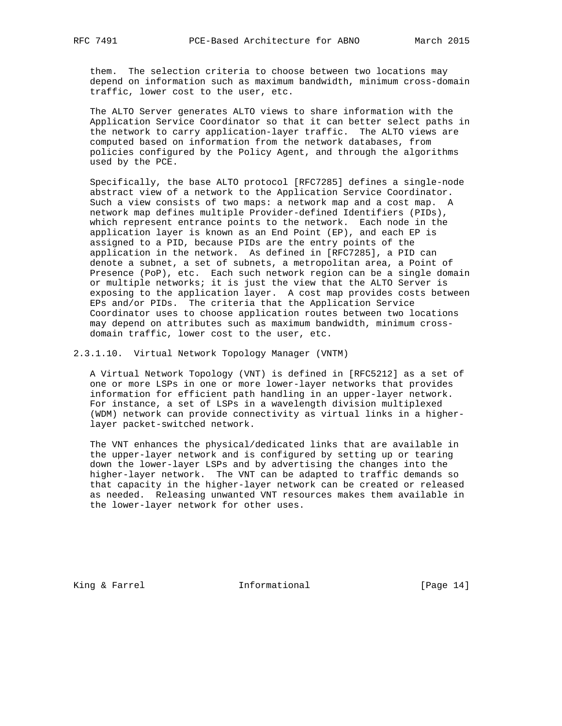them. The selection criteria to choose between two locations may depend on information such as maximum bandwidth, minimum cross-domain traffic, lower cost to the user, etc.

 The ALTO Server generates ALTO views to share information with the Application Service Coordinator so that it can better select paths in the network to carry application-layer traffic. The ALTO views are computed based on information from the network databases, from policies configured by the Policy Agent, and through the algorithms used by the PCE.

 Specifically, the base ALTO protocol [RFC7285] defines a single-node abstract view of a network to the Application Service Coordinator. Such a view consists of two maps: a network map and a cost map. A network map defines multiple Provider-defined Identifiers (PIDs), which represent entrance points to the network. Each node in the application layer is known as an End Point (EP), and each EP is assigned to a PID, because PIDs are the entry points of the application in the network. As defined in [RFC7285], a PID can denote a subnet, a set of subnets, a metropolitan area, a Point of Presence (PoP), etc. Each such network region can be a single domain or multiple networks; it is just the view that the ALTO Server is exposing to the application layer. A cost map provides costs between EPs and/or PIDs. The criteria that the Application Service Coordinator uses to choose application routes between two locations may depend on attributes such as maximum bandwidth, minimum cross domain traffic, lower cost to the user, etc.

2.3.1.10. Virtual Network Topology Manager (VNTM)

 A Virtual Network Topology (VNT) is defined in [RFC5212] as a set of one or more LSPs in one or more lower-layer networks that provides information for efficient path handling in an upper-layer network. For instance, a set of LSPs in a wavelength division multiplexed (WDM) network can provide connectivity as virtual links in a higher layer packet-switched network.

 The VNT enhances the physical/dedicated links that are available in the upper-layer network and is configured by setting up or tearing down the lower-layer LSPs and by advertising the changes into the higher-layer network. The VNT can be adapted to traffic demands so that capacity in the higher-layer network can be created or released as needed. Releasing unwanted VNT resources makes them available in the lower-layer network for other uses.

King & Farrel **Informational** [Page 14]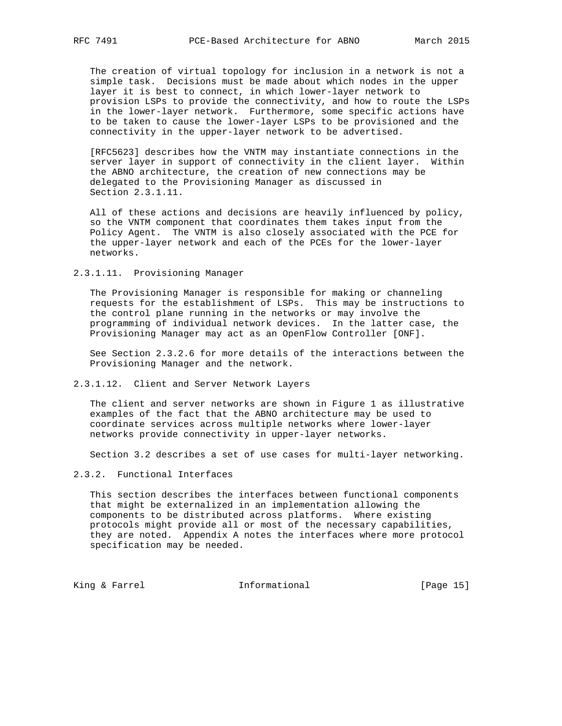The creation of virtual topology for inclusion in a network is not a simple task. Decisions must be made about which nodes in the upper layer it is best to connect, in which lower-layer network to provision LSPs to provide the connectivity, and how to route the LSPs in the lower-layer network. Furthermore, some specific actions have to be taken to cause the lower-layer LSPs to be provisioned and the connectivity in the upper-layer network to be advertised.

 [RFC5623] describes how the VNTM may instantiate connections in the server layer in support of connectivity in the client layer. Within the ABNO architecture, the creation of new connections may be delegated to the Provisioning Manager as discussed in Section 2.3.1.11.

 All of these actions and decisions are heavily influenced by policy, so the VNTM component that coordinates them takes input from the Policy Agent. The VNTM is also closely associated with the PCE for the upper-layer network and each of the PCEs for the lower-layer networks.

2.3.1.11. Provisioning Manager

 The Provisioning Manager is responsible for making or channeling requests for the establishment of LSPs. This may be instructions to the control plane running in the networks or may involve the programming of individual network devices. In the latter case, the Provisioning Manager may act as an OpenFlow Controller [ONF].

 See Section 2.3.2.6 for more details of the interactions between the Provisioning Manager and the network.

2.3.1.12. Client and Server Network Layers

 The client and server networks are shown in Figure 1 as illustrative examples of the fact that the ABNO architecture may be used to coordinate services across multiple networks where lower-layer networks provide connectivity in upper-layer networks.

Section 3.2 describes a set of use cases for multi-layer networking.

2.3.2. Functional Interfaces

 This section describes the interfaces between functional components that might be externalized in an implementation allowing the components to be distributed across platforms. Where existing protocols might provide all or most of the necessary capabilities, they are noted. Appendix A notes the interfaces where more protocol specification may be needed.

King & Farrel **Informational** [Page 15]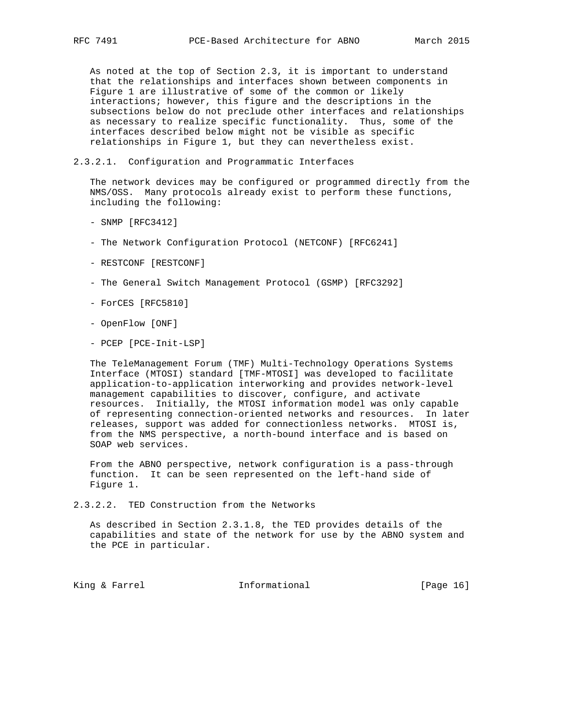As noted at the top of Section 2.3, it is important to understand that the relationships and interfaces shown between components in Figure 1 are illustrative of some of the common or likely interactions; however, this figure and the descriptions in the subsections below do not preclude other interfaces and relationships as necessary to realize specific functionality. Thus, some of the interfaces described below might not be visible as specific relationships in Figure 1, but they can nevertheless exist.

### 2.3.2.1. Configuration and Programmatic Interfaces

 The network devices may be configured or programmed directly from the NMS/OSS. Many protocols already exist to perform these functions, including the following:

- SNMP [RFC3412]
- The Network Configuration Protocol (NETCONF) [RFC6241]
- RESTCONF [RESTCONF]
- The General Switch Management Protocol (GSMP) [RFC3292]
- ForCES [RFC5810]
- OpenFlow [ONF]
- PCEP [PCE-Init-LSP]

 The TeleManagement Forum (TMF) Multi-Technology Operations Systems Interface (MTOSI) standard [TMF-MTOSI] was developed to facilitate application-to-application interworking and provides network-level management capabilities to discover, configure, and activate resources. Initially, the MTOSI information model was only capable of representing connection-oriented networks and resources. In later releases, support was added for connectionless networks. MTOSI is, from the NMS perspective, a north-bound interface and is based on SOAP web services.

 From the ABNO perspective, network configuration is a pass-through function. It can be seen represented on the left-hand side of Figure 1.

2.3.2.2. TED Construction from the Networks

 As described in Section 2.3.1.8, the TED provides details of the capabilities and state of the network for use by the ABNO system and the PCE in particular.

King & Farrel **Informational** [Page 16]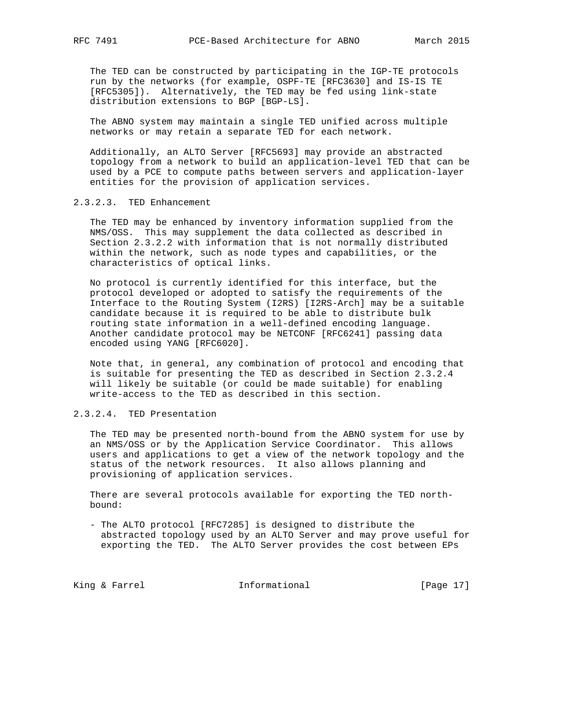The TED can be constructed by participating in the IGP-TE protocols run by the networks (for example, OSPF-TE [RFC3630] and IS-IS TE [RFC5305]). Alternatively, the TED may be fed using link-state distribution extensions to BGP [BGP-LS].

 The ABNO system may maintain a single TED unified across multiple networks or may retain a separate TED for each network.

 Additionally, an ALTO Server [RFC5693] may provide an abstracted topology from a network to build an application-level TED that can be used by a PCE to compute paths between servers and application-layer entities for the provision of application services.

# 2.3.2.3. TED Enhancement

 The TED may be enhanced by inventory information supplied from the NMS/OSS. This may supplement the data collected as described in Section 2.3.2.2 with information that is not normally distributed within the network, such as node types and capabilities, or the characteristics of optical links.

 No protocol is currently identified for this interface, but the protocol developed or adopted to satisfy the requirements of the Interface to the Routing System (I2RS) [I2RS-Arch] may be a suitable candidate because it is required to be able to distribute bulk routing state information in a well-defined encoding language. Another candidate protocol may be NETCONF [RFC6241] passing data encoded using YANG [RFC6020].

 Note that, in general, any combination of protocol and encoding that is suitable for presenting the TED as described in Section 2.3.2.4 will likely be suitable (or could be made suitable) for enabling write-access to the TED as described in this section.

# 2.3.2.4. TED Presentation

 The TED may be presented north-bound from the ABNO system for use by an NMS/OSS or by the Application Service Coordinator. This allows users and applications to get a view of the network topology and the status of the network resources. It also allows planning and provisioning of application services.

 There are several protocols available for exporting the TED north bound:

 - The ALTO protocol [RFC7285] is designed to distribute the abstracted topology used by an ALTO Server and may prove useful for exporting the TED. The ALTO Server provides the cost between EPs

King & Farrel **Informational** [Page 17]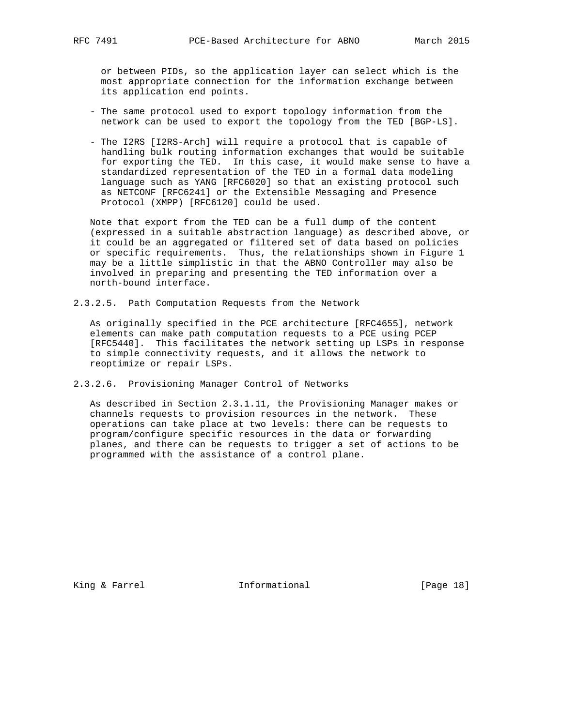or between PIDs, so the application layer can select which is the most appropriate connection for the information exchange between its application end points.

- The same protocol used to export topology information from the network can be used to export the topology from the TED [BGP-LS].
- The I2RS [I2RS-Arch] will require a protocol that is capable of handling bulk routing information exchanges that would be suitable for exporting the TED. In this case, it would make sense to have a standardized representation of the TED in a formal data modeling language such as YANG [RFC6020] so that an existing protocol such as NETCONF [RFC6241] or the Extensible Messaging and Presence Protocol (XMPP) [RFC6120] could be used.

 Note that export from the TED can be a full dump of the content (expressed in a suitable abstraction language) as described above, or it could be an aggregated or filtered set of data based on policies or specific requirements. Thus, the relationships shown in Figure 1 may be a little simplistic in that the ABNO Controller may also be involved in preparing and presenting the TED information over a north-bound interface.

2.3.2.5. Path Computation Requests from the Network

 As originally specified in the PCE architecture [RFC4655], network elements can make path computation requests to a PCE using PCEP [RFC5440]. This facilitates the network setting up LSPs in response to simple connectivity requests, and it allows the network to reoptimize or repair LSPs.

2.3.2.6. Provisioning Manager Control of Networks

 As described in Section 2.3.1.11, the Provisioning Manager makes or channels requests to provision resources in the network. These operations can take place at two levels: there can be requests to program/configure specific resources in the data or forwarding planes, and there can be requests to trigger a set of actions to be programmed with the assistance of a control plane.

King & Farrel **Informational** [Page 18]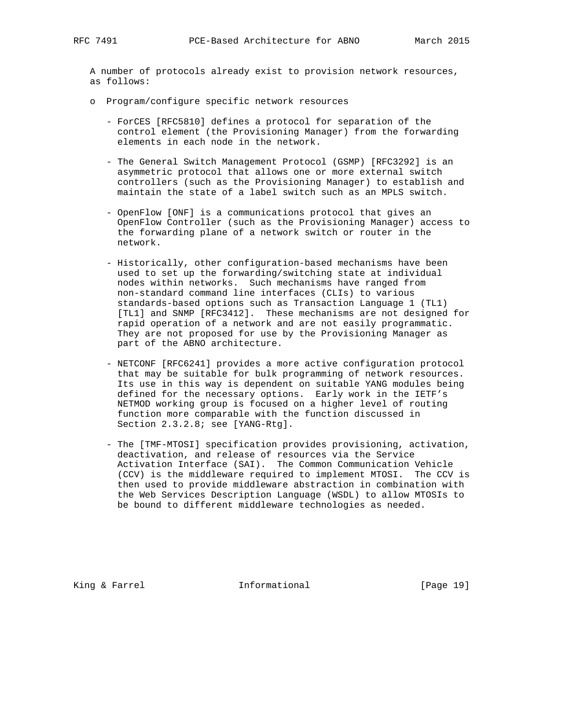A number of protocols already exist to provision network resources, as follows:

- o Program/configure specific network resources
	- ForCES [RFC5810] defines a protocol for separation of the control element (the Provisioning Manager) from the forwarding elements in each node in the network.
	- The General Switch Management Protocol (GSMP) [RFC3292] is an asymmetric protocol that allows one or more external switch controllers (such as the Provisioning Manager) to establish and maintain the state of a label switch such as an MPLS switch.
	- OpenFlow [ONF] is a communications protocol that gives an OpenFlow Controller (such as the Provisioning Manager) access to the forwarding plane of a network switch or router in the network.
	- Historically, other configuration-based mechanisms have been used to set up the forwarding/switching state at individual nodes within networks. Such mechanisms have ranged from non-standard command line interfaces (CLIs) to various standards-based options such as Transaction Language 1 (TL1) [TL1] and SNMP [RFC3412]. These mechanisms are not designed for rapid operation of a network and are not easily programmatic. They are not proposed for use by the Provisioning Manager as part of the ABNO architecture.
	- NETCONF [RFC6241] provides a more active configuration protocol that may be suitable for bulk programming of network resources. Its use in this way is dependent on suitable YANG modules being defined for the necessary options. Early work in the IETF's NETMOD working group is focused on a higher level of routing function more comparable with the function discussed in Section 2.3.2.8; see [YANG-Rtg].
	- The [TMF-MTOSI] specification provides provisioning, activation, deactivation, and release of resources via the Service Activation Interface (SAI). The Common Communication Vehicle (CCV) is the middleware required to implement MTOSI. The CCV is then used to provide middleware abstraction in combination with the Web Services Description Language (WSDL) to allow MTOSIs to be bound to different middleware technologies as needed.

King & Farrel **Informational** [Page 19]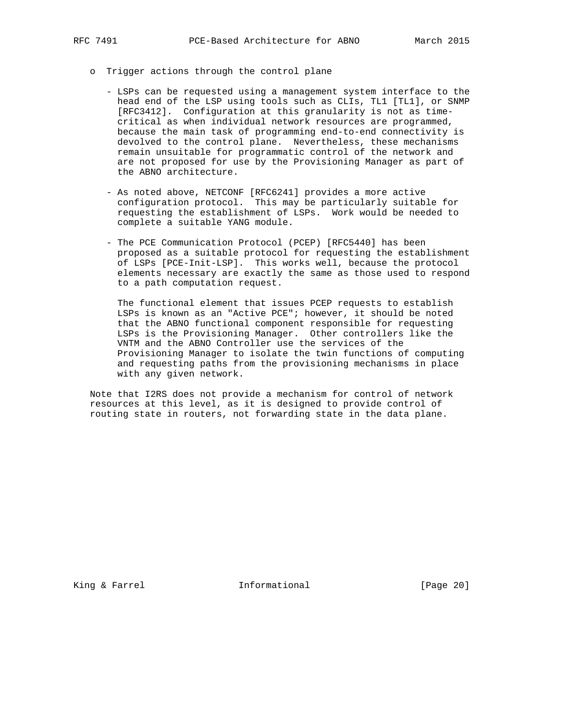- o Trigger actions through the control plane
	- LSPs can be requested using a management system interface to the head end of the LSP using tools such as CLIs, TL1 [TL1], or SNMP [RFC3412]. Configuration at this granularity is not as time critical as when individual network resources are programmed, because the main task of programming end-to-end connectivity is devolved to the control plane. Nevertheless, these mechanisms remain unsuitable for programmatic control of the network and are not proposed for use by the Provisioning Manager as part of the ABNO architecture.
	- As noted above, NETCONF [RFC6241] provides a more active configuration protocol. This may be particularly suitable for requesting the establishment of LSPs. Work would be needed to complete a suitable YANG module.
	- The PCE Communication Protocol (PCEP) [RFC5440] has been proposed as a suitable protocol for requesting the establishment of LSPs [PCE-Init-LSP]. This works well, because the protocol elements necessary are exactly the same as those used to respond to a path computation request.

 The functional element that issues PCEP requests to establish LSPs is known as an "Active PCE"; however, it should be noted that the ABNO functional component responsible for requesting LSPs is the Provisioning Manager. Other controllers like the VNTM and the ABNO Controller use the services of the Provisioning Manager to isolate the twin functions of computing and requesting paths from the provisioning mechanisms in place with any given network.

 Note that I2RS does not provide a mechanism for control of network resources at this level, as it is designed to provide control of routing state in routers, not forwarding state in the data plane.

King & Farrel **Informational** [Page 20]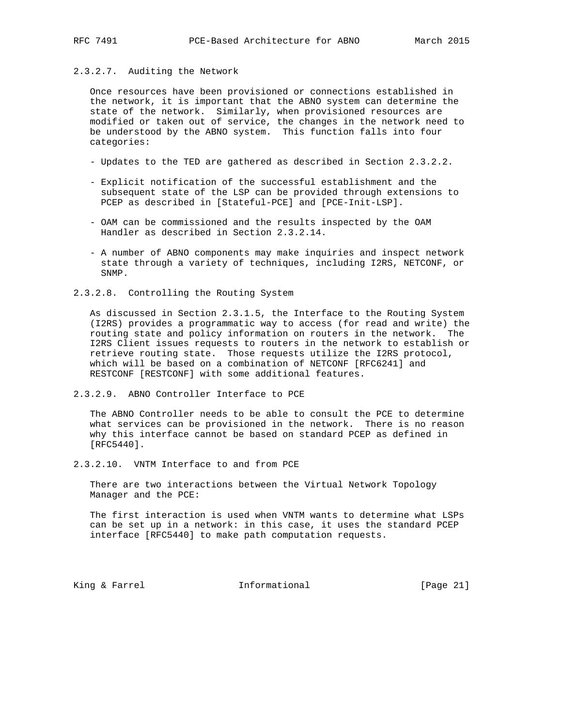# 2.3.2.7. Auditing the Network

 Once resources have been provisioned or connections established in the network, it is important that the ABNO system can determine the state of the network. Similarly, when provisioned resources are modified or taken out of service, the changes in the network need to be understood by the ABNO system. This function falls into four categories:

- Updates to the TED are gathered as described in Section 2.3.2.2.
- Explicit notification of the successful establishment and the subsequent state of the LSP can be provided through extensions to PCEP as described in [Stateful-PCE] and [PCE-Init-LSP].
- OAM can be commissioned and the results inspected by the OAM Handler as described in Section 2.3.2.14.
- A number of ABNO components may make inquiries and inspect network state through a variety of techniques, including I2RS, NETCONF, or SNMP.
- 2.3.2.8. Controlling the Routing System

 As discussed in Section 2.3.1.5, the Interface to the Routing System (I2RS) provides a programmatic way to access (for read and write) the routing state and policy information on routers in the network. The I2RS Client issues requests to routers in the network to establish or retrieve routing state. Those requests utilize the I2RS protocol, which will be based on a combination of NETCONF [RFC6241] and RESTCONF [RESTCONF] with some additional features.

2.3.2.9. ABNO Controller Interface to PCE

 The ABNO Controller needs to be able to consult the PCE to determine what services can be provisioned in the network. There is no reason why this interface cannot be based on standard PCEP as defined in [RFC5440].

2.3.2.10. VNTM Interface to and from PCE

 There are two interactions between the Virtual Network Topology Manager and the PCE:

 The first interaction is used when VNTM wants to determine what LSPs can be set up in a network: in this case, it uses the standard PCEP interface [RFC5440] to make path computation requests.

King & Farrel **Informational** [Page 21]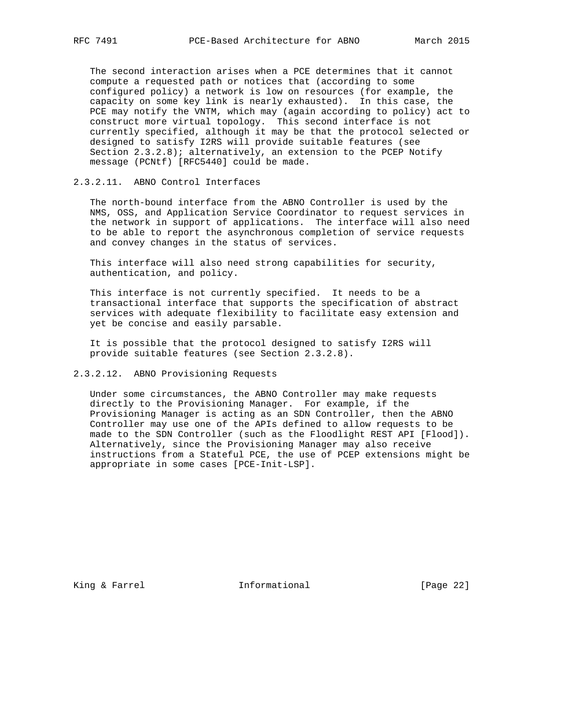The second interaction arises when a PCE determines that it cannot compute a requested path or notices that (according to some configured policy) a network is low on resources (for example, the capacity on some key link is nearly exhausted). In this case, the PCE may notify the VNTM, which may (again according to policy) act to construct more virtual topology. This second interface is not currently specified, although it may be that the protocol selected or designed to satisfy I2RS will provide suitable features (see Section 2.3.2.8); alternatively, an extension to the PCEP Notify message (PCNtf) [RFC5440] could be made.

# 2.3.2.11. ABNO Control Interfaces

 The north-bound interface from the ABNO Controller is used by the NMS, OSS, and Application Service Coordinator to request services in the network in support of applications. The interface will also need to be able to report the asynchronous completion of service requests and convey changes in the status of services.

 This interface will also need strong capabilities for security, authentication, and policy.

 This interface is not currently specified. It needs to be a transactional interface that supports the specification of abstract services with adequate flexibility to facilitate easy extension and yet be concise and easily parsable.

 It is possible that the protocol designed to satisfy I2RS will provide suitable features (see Section 2.3.2.8).

# 2.3.2.12. ABNO Provisioning Requests

 Under some circumstances, the ABNO Controller may make requests directly to the Provisioning Manager. For example, if the Provisioning Manager is acting as an SDN Controller, then the ABNO Controller may use one of the APIs defined to allow requests to be made to the SDN Controller (such as the Floodlight REST API [Flood]). Alternatively, since the Provisioning Manager may also receive instructions from a Stateful PCE, the use of PCEP extensions might be appropriate in some cases [PCE-Init-LSP].

King & Farrel **Informational** [Page 22]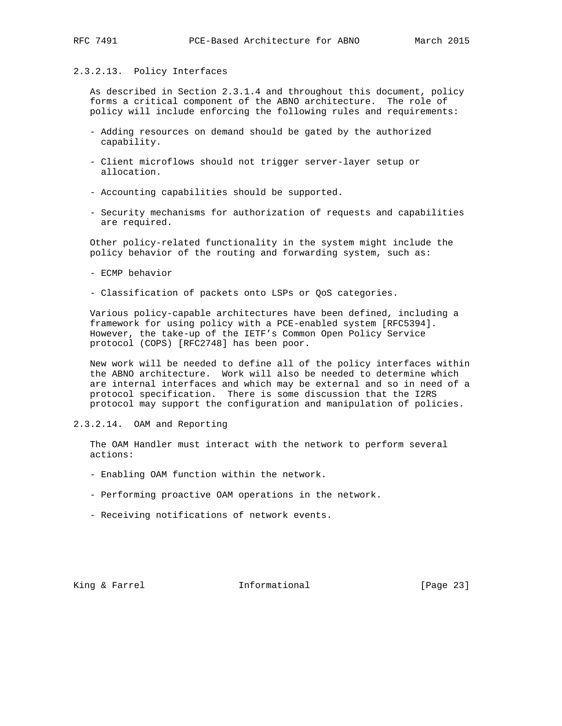# 2.3.2.13. Policy Interfaces

 As described in Section 2.3.1.4 and throughout this document, policy forms a critical component of the ABNO architecture. The role of policy will include enforcing the following rules and requirements:

- Adding resources on demand should be gated by the authorized capability.
- Client microflows should not trigger server-layer setup or allocation.
- Accounting capabilities should be supported.
- Security mechanisms for authorization of requests and capabilities are required.

 Other policy-related functionality in the system might include the policy behavior of the routing and forwarding system, such as:

- ECMP behavior
- Classification of packets onto LSPs or QoS categories.

 Various policy-capable architectures have been defined, including a framework for using policy with a PCE-enabled system [RFC5394]. However, the take-up of the IETF's Common Open Policy Service protocol (COPS) [RFC2748] has been poor.

 New work will be needed to define all of the policy interfaces within the ABNO architecture. Work will also be needed to determine which are internal interfaces and which may be external and so in need of a protocol specification. There is some discussion that the I2RS protocol may support the configuration and manipulation of policies.

2.3.2.14. OAM and Reporting

 The OAM Handler must interact with the network to perform several actions:

- Enabling OAM function within the network.
- Performing proactive OAM operations in the network.
- Receiving notifications of network events.

King & Farrel **Informational** [Page 23]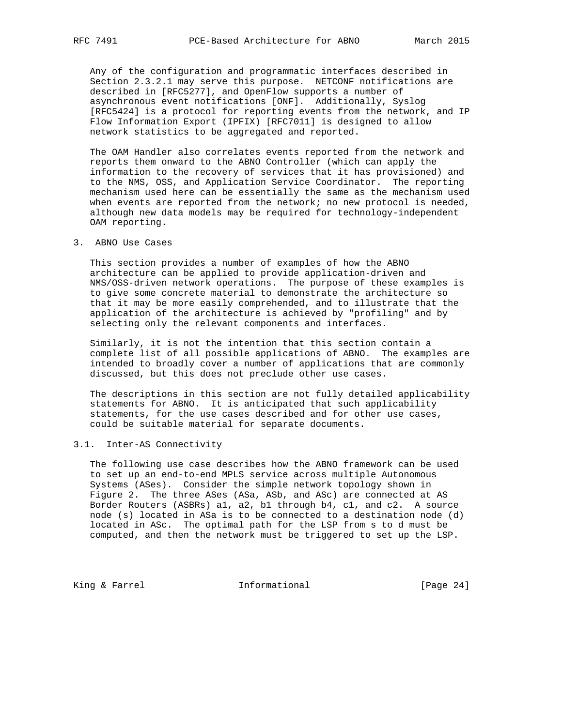Any of the configuration and programmatic interfaces described in Section 2.3.2.1 may serve this purpose. NETCONF notifications are described in [RFC5277], and OpenFlow supports a number of asynchronous event notifications [ONF]. Additionally, Syslog [RFC5424] is a protocol for reporting events from the network, and IP Flow Information Export (IPFIX) [RFC7011] is designed to allow network statistics to be aggregated and reported.

 The OAM Handler also correlates events reported from the network and reports them onward to the ABNO Controller (which can apply the information to the recovery of services that it has provisioned) and to the NMS, OSS, and Application Service Coordinator. The reporting mechanism used here can be essentially the same as the mechanism used when events are reported from the network; no new protocol is needed, although new data models may be required for technology-independent OAM reporting.

3. ABNO Use Cases

 This section provides a number of examples of how the ABNO architecture can be applied to provide application-driven and NMS/OSS-driven network operations. The purpose of these examples is to give some concrete material to demonstrate the architecture so that it may be more easily comprehended, and to illustrate that the application of the architecture is achieved by "profiling" and by selecting only the relevant components and interfaces.

 Similarly, it is not the intention that this section contain a complete list of all possible applications of ABNO. The examples are intended to broadly cover a number of applications that are commonly discussed, but this does not preclude other use cases.

 The descriptions in this section are not fully detailed applicability statements for ABNO. It is anticipated that such applicability statements, for the use cases described and for other use cases, could be suitable material for separate documents.

# 3.1. Inter-AS Connectivity

 The following use case describes how the ABNO framework can be used to set up an end-to-end MPLS service across multiple Autonomous Systems (ASes). Consider the simple network topology shown in Figure 2. The three ASes (ASa, ASb, and ASc) are connected at AS Border Routers (ASBRs) a1, a2, b1 through b4, c1, and c2. A source node (s) located in ASa is to be connected to a destination node (d) located in ASc. The optimal path for the LSP from s to d must be computed, and then the network must be triggered to set up the LSP.

King & Farrel **Informational** [Page 24]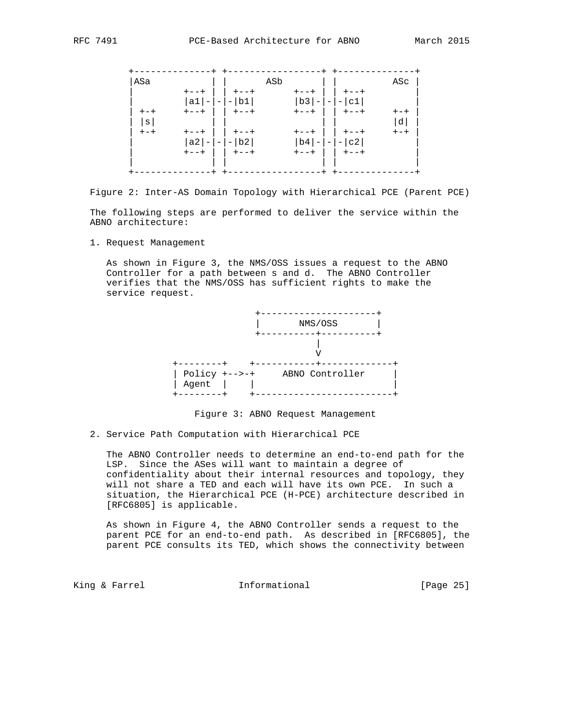

 Figure 2: Inter-AS Domain Topology with Hierarchical PCE (Parent PCE) The following steps are performed to deliver the service within the ABNO architecture:

1. Request Management

 As shown in Figure 3, the NMS/OSS issues a request to the ABNO Controller for a path between s and d. The ABNO Controller verifies that the NMS/OSS has sufficient rights to make the service request.



Figure 3: ABNO Request Management

2. Service Path Computation with Hierarchical PCE

 The ABNO Controller needs to determine an end-to-end path for the LSP. Since the ASes will want to maintain a degree of confidentiality about their internal resources and topology, they will not share a TED and each will have its own PCE. In such a situation, the Hierarchical PCE (H-PCE) architecture described in [RFC6805] is applicable.

 As shown in Figure 4, the ABNO Controller sends a request to the parent PCE for an end-to-end path. As described in [RFC6805], the parent PCE consults its TED, which shows the connectivity between

King & Farrel **Informational** [Page 25]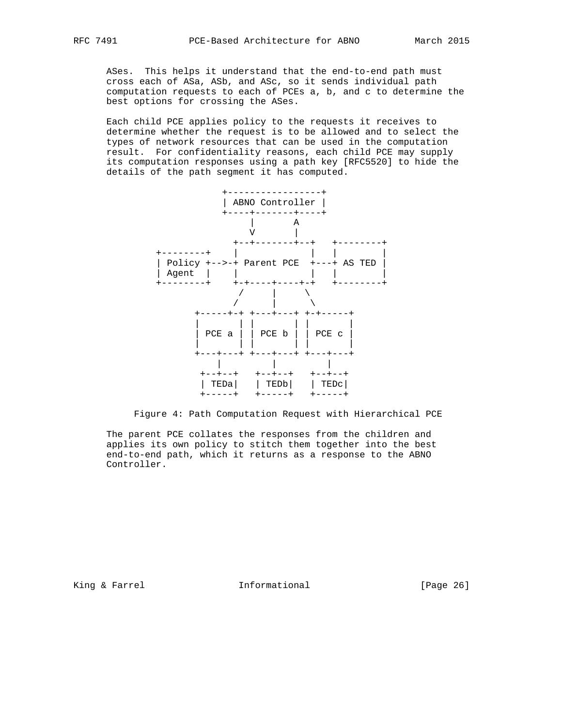ASes. This helps it understand that the end-to-end path must cross each of ASa, ASb, and ASc, so it sends individual path computation requests to each of PCEs a, b, and c to determine the best options for crossing the ASes.

 Each child PCE applies policy to the requests it receives to determine whether the request is to be allowed and to select the types of network resources that can be used in the computation result. For confidentiality reasons, each child PCE may supply its computation responses using a path key [RFC5520] to hide the details of the path segment it has computed.



Figure 4: Path Computation Request with Hierarchical PCE

 The parent PCE collates the responses from the children and applies its own policy to stitch them together into the best end-to-end path, which it returns as a response to the ABNO Controller.

King & Farrel **Informational** [Page 26]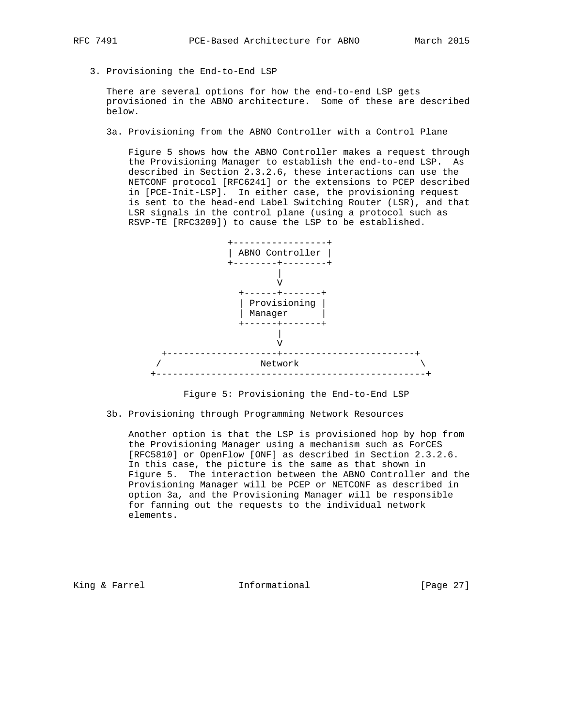3. Provisioning the End-to-End LSP

 There are several options for how the end-to-end LSP gets provisioned in the ABNO architecture. Some of these are described below.

3a. Provisioning from the ABNO Controller with a Control Plane

 Figure 5 shows how the ABNO Controller makes a request through the Provisioning Manager to establish the end-to-end LSP. As described in Section 2.3.2.6, these interactions can use the NETCONF protocol [RFC6241] or the extensions to PCEP described in [PCE-Init-LSP]. In either case, the provisioning request is sent to the head-end Label Switching Router (LSR), and that LSR signals in the control plane (using a protocol such as RSVP-TE [RFC3209]) to cause the LSP to be established.





3b. Provisioning through Programming Network Resources

 Another option is that the LSP is provisioned hop by hop from the Provisioning Manager using a mechanism such as ForCES [RFC5810] or OpenFlow [ONF] as described in Section 2.3.2.6. In this case, the picture is the same as that shown in Figure 5. The interaction between the ABNO Controller and the Provisioning Manager will be PCEP or NETCONF as described in option 3a, and the Provisioning Manager will be responsible for fanning out the requests to the individual network elements.

King & Farrel **Informational** [Page 27]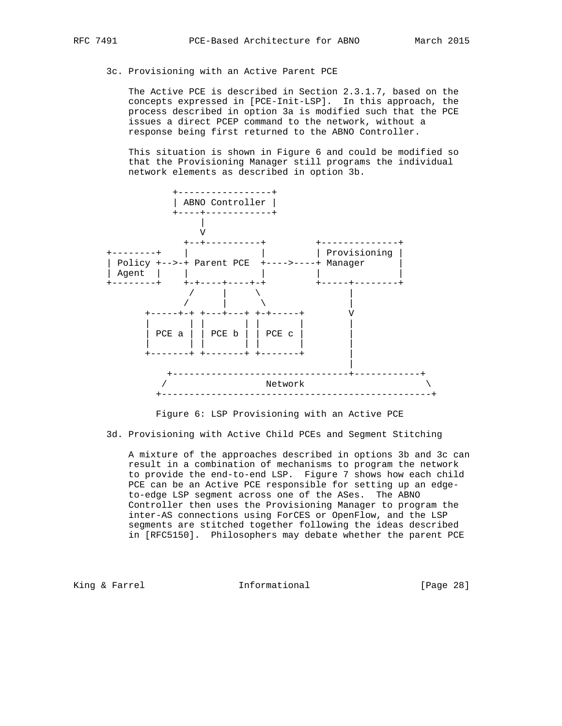3c. Provisioning with an Active Parent PCE

 The Active PCE is described in Section 2.3.1.7, based on the concepts expressed in [PCE-Init-LSP]. In this approach, the process described in option 3a is modified such that the PCE issues a direct PCEP command to the network, without a response being first returned to the ABNO Controller.

 This situation is shown in Figure 6 and could be modified so that the Provisioning Manager still programs the individual network elements as described in option 3b.



Figure 6: LSP Provisioning with an Active PCE

3d. Provisioning with Active Child PCEs and Segment Stitching

 A mixture of the approaches described in options 3b and 3c can result in a combination of mechanisms to program the network to provide the end-to-end LSP. Figure 7 shows how each child PCE can be an Active PCE responsible for setting up an edge to-edge LSP segment across one of the ASes. The ABNO Controller then uses the Provisioning Manager to program the inter-AS connections using ForCES or OpenFlow, and the LSP segments are stitched together following the ideas described in [RFC5150]. Philosophers may debate whether the parent PCE

King & Farrel **Informational** [Page 28]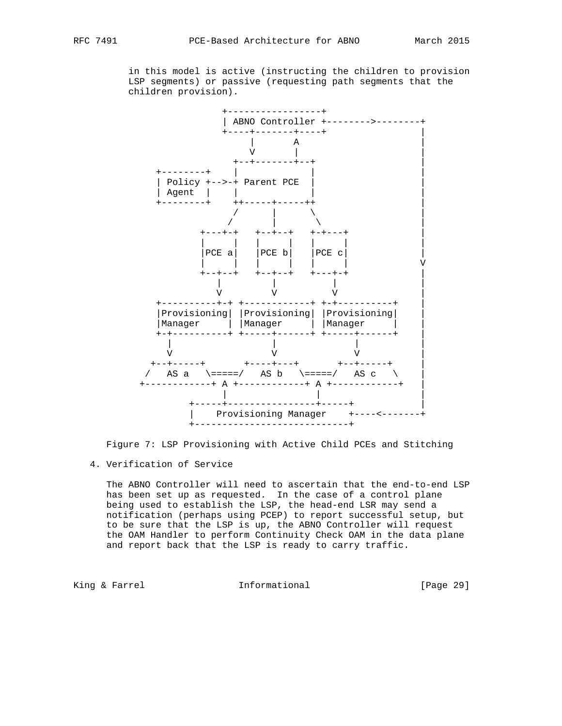+-----------------+ | ABNO Controller +-------->--------+ +----+-------+----+ | | A | V | |  $+ - + - - - - - - + - +$   $\begin{bmatrix} - & - & - \\ - & - & - \\ - & - & - \end{bmatrix}$  +--------+ | | | | Policy +-->-+ Parent PCE | | | Agent | | | | +--------+ ++-----+-----++ |  $\prime$  |  $\lambda$  |  $\vert$  / | \ | +---+-+ +--+--+ +-+---+ | | | | | | | |  $|PCE a|$   $|PCE b|$   $|PCE c|$  | | | | | | | V +--+--+ +--+--+ +---+-+ | | | | |  $V$   $V$   $V$   $V$  +----------+-+ +------------+ +-+----------+ | |Provisioning| |Provisioning| |Provisioning| | |Manager | |Manager | |Manager | | +-+----------+ +-----+------+ +-----+------+ | | | | |  $V$   $V$   $V$   $V$   $V$  +--+-----+ +----+---+ +--+-----+ | / AS a  $\ ===$ / AS b  $\ ====$ / AS c  $\ \ \ \ \$  +------------+ A +------------+ A +------------+ | | | | +-----+----------------+-----+ | | Provisioning Manager +----<-------+

 in this model is active (instructing the children to provision LSP segments) or passive (requesting path segments that the children provision).

Figure 7: LSP Provisioning with Active Child PCEs and Stitching

+----------------------------+

4. Verification of Service

 The ABNO Controller will need to ascertain that the end-to-end LSP has been set up as requested. In the case of a control plane being used to establish the LSP, the head-end LSR may send a notification (perhaps using PCEP) to report successful setup, but to be sure that the LSP is up, the ABNO Controller will request the OAM Handler to perform Continuity Check OAM in the data plane and report back that the LSP is ready to carry traffic.

King & Farrel **Informational** [Page 29]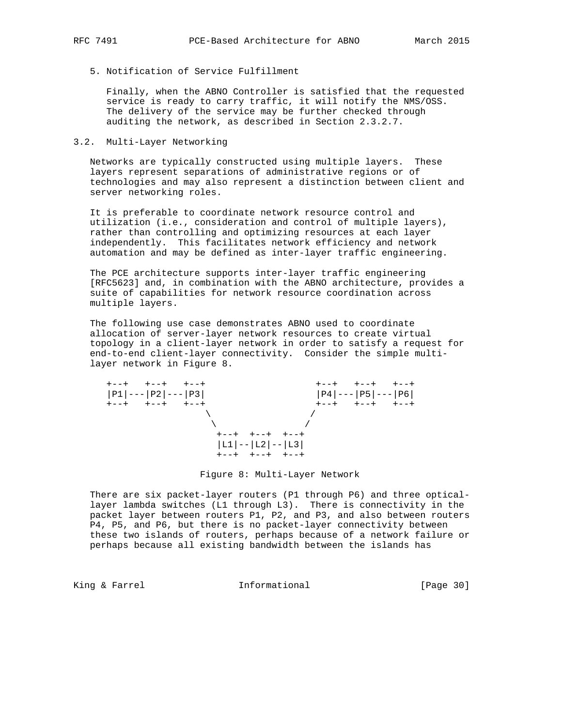5. Notification of Service Fulfillment

 Finally, when the ABNO Controller is satisfied that the requested service is ready to carry traffic, it will notify the NMS/OSS. The delivery of the service may be further checked through auditing the network, as described in Section 2.3.2.7.

## 3.2. Multi-Layer Networking

 Networks are typically constructed using multiple layers. These layers represent separations of administrative regions or of technologies and may also represent a distinction between client and server networking roles.

 It is preferable to coordinate network resource control and utilization (i.e., consideration and control of multiple layers), rather than controlling and optimizing resources at each layer independently. This facilitates network efficiency and network automation and may be defined as inter-layer traffic engineering.

 The PCE architecture supports inter-layer traffic engineering [RFC5623] and, in combination with the ABNO architecture, provides a suite of capabilities for network resource coordination across multiple layers.

 The following use case demonstrates ABNO used to coordinate allocation of server-layer network resources to create virtual topology in a client-layer network in order to satisfy a request for end-to-end client-layer connectivity. Consider the simple multi layer network in Figure 8.



Figure 8: Multi-Layer Network

 There are six packet-layer routers (P1 through P6) and three optical layer lambda switches (L1 through L3). There is connectivity in the packet layer between routers P1, P2, and P3, and also between routers P4, P5, and P6, but there is no packet-layer connectivity between these two islands of routers, perhaps because of a network failure or perhaps because all existing bandwidth between the islands has

King & Farrel **Informational** [Page 30]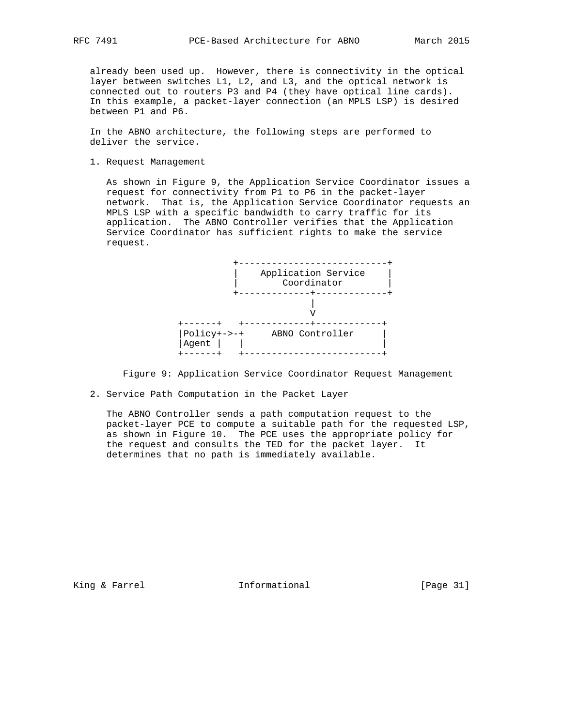already been used up. However, there is connectivity in the optical layer between switches L1, L2, and L3, and the optical network is connected out to routers P3 and P4 (they have optical line cards). In this example, a packet-layer connection (an MPLS LSP) is desired between P1 and P6.

 In the ABNO architecture, the following steps are performed to deliver the service.

1. Request Management

 As shown in Figure 9, the Application Service Coordinator issues a request for connectivity from P1 to P6 in the packet-layer network. That is, the Application Service Coordinator requests an MPLS LSP with a specific bandwidth to carry traffic for its application. The ABNO Controller verifies that the Application Service Coordinator has sufficient rights to make the service request.



Figure 9: Application Service Coordinator Request Management

2. Service Path Computation in the Packet Layer

 The ABNO Controller sends a path computation request to the packet-layer PCE to compute a suitable path for the requested LSP, as shown in Figure 10. The PCE uses the appropriate policy for the request and consults the TED for the packet layer. It determines that no path is immediately available.

King & Farrel **Informational** [Page 31]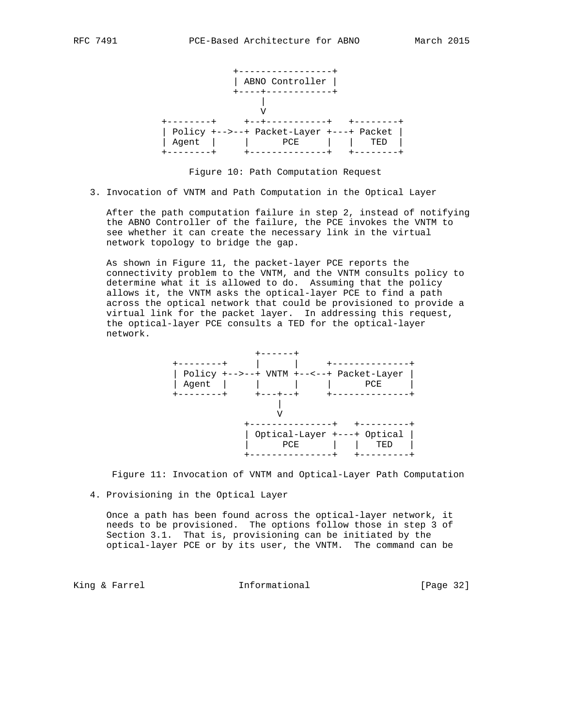

Figure 10: Path Computation Request

3. Invocation of VNTM and Path Computation in the Optical Layer

 After the path computation failure in step 2, instead of notifying the ABNO Controller of the failure, the PCE invokes the VNTM to see whether it can create the necessary link in the virtual network topology to bridge the gap.

 As shown in Figure 11, the packet-layer PCE reports the connectivity problem to the VNTM, and the VNTM consults policy to determine what it is allowed to do. Assuming that the policy allows it, the VNTM asks the optical-layer PCE to find a path across the optical network that could be provisioned to provide a virtual link for the packet layer. In addressing this request, the optical-layer PCE consults a TED for the optical-layer network.



Figure 11: Invocation of VNTM and Optical-Layer Path Computation

4. Provisioning in the Optical Layer

 Once a path has been found across the optical-layer network, it needs to be provisioned. The options follow those in step 3 of Section 3.1. That is, provisioning can be initiated by the optical-layer PCE or by its user, the VNTM. The command can be

King & Farrel **Informational** [Page 32]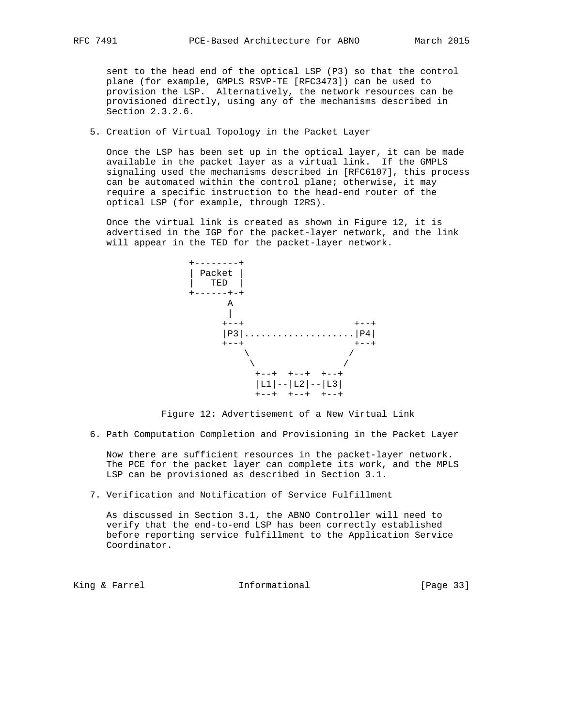sent to the head end of the optical LSP (P3) so that the control plane (for example, GMPLS RSVP-TE [RFC3473]) can be used to provision the LSP. Alternatively, the network resources can be provisioned directly, using any of the mechanisms described in Section 2.3.2.6.

# 5. Creation of Virtual Topology in the Packet Layer

 Once the LSP has been set up in the optical layer, it can be made available in the packet layer as a virtual link. If the GMPLS signaling used the mechanisms described in [RFC6107], this process can be automated within the control plane; otherwise, it may require a specific instruction to the head-end router of the optical LSP (for example, through I2RS).

 Once the virtual link is created as shown in Figure 12, it is advertised in the IGP for the packet-layer network, and the link will appear in the TED for the packet-layer network.



Figure 12: Advertisement of a New Virtual Link

6. Path Computation Completion and Provisioning in the Packet Layer

 Now there are sufficient resources in the packet-layer network. The PCE for the packet layer can complete its work, and the MPLS LSP can be provisioned as described in Section 3.1.

7. Verification and Notification of Service Fulfillment

 As discussed in Section 3.1, the ABNO Controller will need to verify that the end-to-end LSP has been correctly established before reporting service fulfillment to the Application Service Coordinator.

King & Farrel **Informational** [Page 33]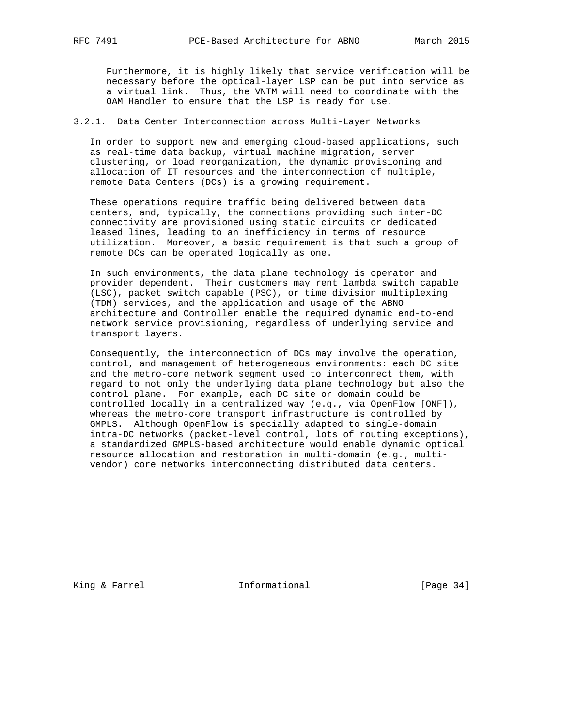Furthermore, it is highly likely that service verification will be necessary before the optical-layer LSP can be put into service as a virtual link. Thus, the VNTM will need to coordinate with the OAM Handler to ensure that the LSP is ready for use.

# 3.2.1. Data Center Interconnection across Multi-Layer Networks

 In order to support new and emerging cloud-based applications, such as real-time data backup, virtual machine migration, server clustering, or load reorganization, the dynamic provisioning and allocation of IT resources and the interconnection of multiple, remote Data Centers (DCs) is a growing requirement.

 These operations require traffic being delivered between data centers, and, typically, the connections providing such inter-DC connectivity are provisioned using static circuits or dedicated leased lines, leading to an inefficiency in terms of resource utilization. Moreover, a basic requirement is that such a group of remote DCs can be operated logically as one.

 In such environments, the data plane technology is operator and provider dependent. Their customers may rent lambda switch capable (LSC), packet switch capable (PSC), or time division multiplexing (TDM) services, and the application and usage of the ABNO architecture and Controller enable the required dynamic end-to-end network service provisioning, regardless of underlying service and transport layers.

 Consequently, the interconnection of DCs may involve the operation, control, and management of heterogeneous environments: each DC site and the metro-core network segment used to interconnect them, with regard to not only the underlying data plane technology but also the control plane. For example, each DC site or domain could be controlled locally in a centralized way (e.g., via OpenFlow [ONF]), whereas the metro-core transport infrastructure is controlled by GMPLS. Although OpenFlow is specially adapted to single-domain intra-DC networks (packet-level control, lots of routing exceptions), a standardized GMPLS-based architecture would enable dynamic optical resource allocation and restoration in multi-domain (e.g., multi vendor) core networks interconnecting distributed data centers.

King & Farrel **Informational** [Page 34]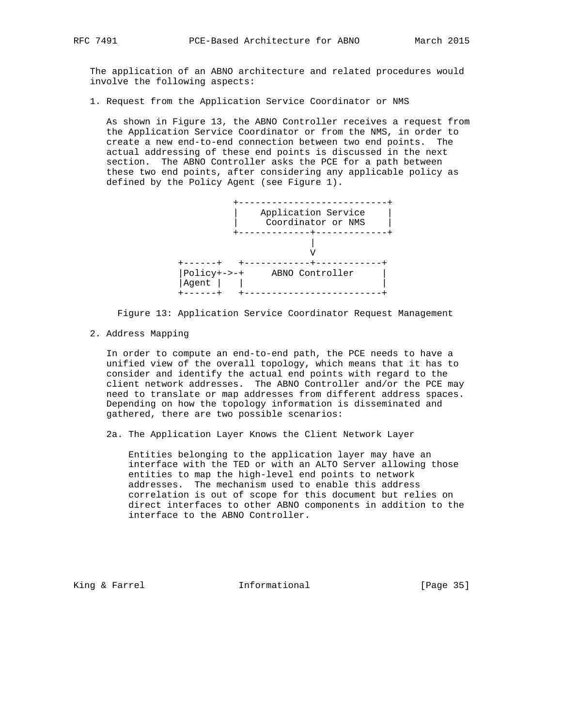The application of an ABNO architecture and related procedures would involve the following aspects:

1. Request from the Application Service Coordinator or NMS

 As shown in Figure 13, the ABNO Controller receives a request from the Application Service Coordinator or from the NMS, in order to create a new end-to-end connection between two end points. The actual addressing of these end points is discussed in the next section. The ABNO Controller asks the PCE for a path between these two end points, after considering any applicable policy as defined by the Policy Agent (see Figure 1).



Figure 13: Application Service Coordinator Request Management

2. Address Mapping

 In order to compute an end-to-end path, the PCE needs to have a unified view of the overall topology, which means that it has to consider and identify the actual end points with regard to the client network addresses. The ABNO Controller and/or the PCE may need to translate or map addresses from different address spaces. Depending on how the topology information is disseminated and gathered, there are two possible scenarios:

2a. The Application Layer Knows the Client Network Layer

 Entities belonging to the application layer may have an interface with the TED or with an ALTO Server allowing those entities to map the high-level end points to network addresses. The mechanism used to enable this address correlation is out of scope for this document but relies on direct interfaces to other ABNO components in addition to the interface to the ABNO Controller.

King & Farrel **Informational** [Page 35]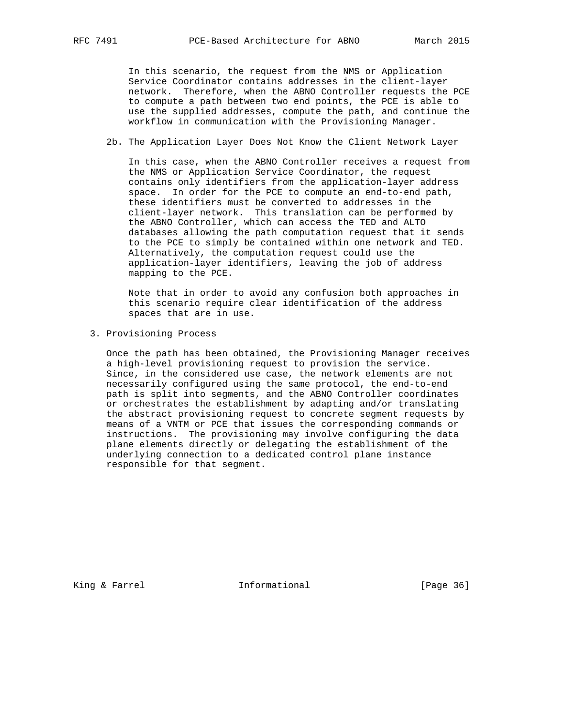In this scenario, the request from the NMS or Application Service Coordinator contains addresses in the client-layer network. Therefore, when the ABNO Controller requests the PCE to compute a path between two end points, the PCE is able to use the supplied addresses, compute the path, and continue the workflow in communication with the Provisioning Manager.

#### 2b. The Application Layer Does Not Know the Client Network Layer

 In this case, when the ABNO Controller receives a request from the NMS or Application Service Coordinator, the request contains only identifiers from the application-layer address space. In order for the PCE to compute an end-to-end path, these identifiers must be converted to addresses in the client-layer network. This translation can be performed by the ABNO Controller, which can access the TED and ALTO databases allowing the path computation request that it sends to the PCE to simply be contained within one network and TED. Alternatively, the computation request could use the application-layer identifiers, leaving the job of address mapping to the PCE.

 Note that in order to avoid any confusion both approaches in this scenario require clear identification of the address spaces that are in use.

#### 3. Provisioning Process

 Once the path has been obtained, the Provisioning Manager receives a high-level provisioning request to provision the service. Since, in the considered use case, the network elements are not necessarily configured using the same protocol, the end-to-end path is split into segments, and the ABNO Controller coordinates or orchestrates the establishment by adapting and/or translating the abstract provisioning request to concrete segment requests by means of a VNTM or PCE that issues the corresponding commands or instructions. The provisioning may involve configuring the data plane elements directly or delegating the establishment of the underlying connection to a dedicated control plane instance responsible for that segment.

King & Farrel **Informational** [Page 36]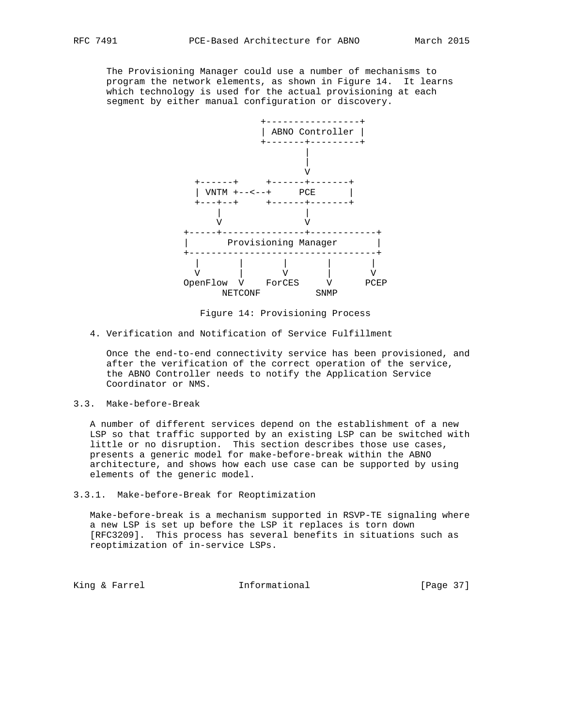The Provisioning Manager could use a number of mechanisms to program the network elements, as shown in Figure 14. It learns which technology is used for the actual provisioning at each segment by either manual configuration or discovery.



Figure 14: Provisioning Process

4. Verification and Notification of Service Fulfillment

 Once the end-to-end connectivity service has been provisioned, and after the verification of the correct operation of the service, the ABNO Controller needs to notify the Application Service Coordinator or NMS.

3.3. Make-before-Break

 A number of different services depend on the establishment of a new LSP so that traffic supported by an existing LSP can be switched with little or no disruption. This section describes those use cases, presents a generic model for make-before-break within the ABNO architecture, and shows how each use case can be supported by using elements of the generic model.

3.3.1. Make-before-Break for Reoptimization

 Make-before-break is a mechanism supported in RSVP-TE signaling where a new LSP is set up before the LSP it replaces is torn down [RFC3209]. This process has several benefits in situations such as reoptimization of in-service LSPs.

King & Farrel **Informational** [Page 37]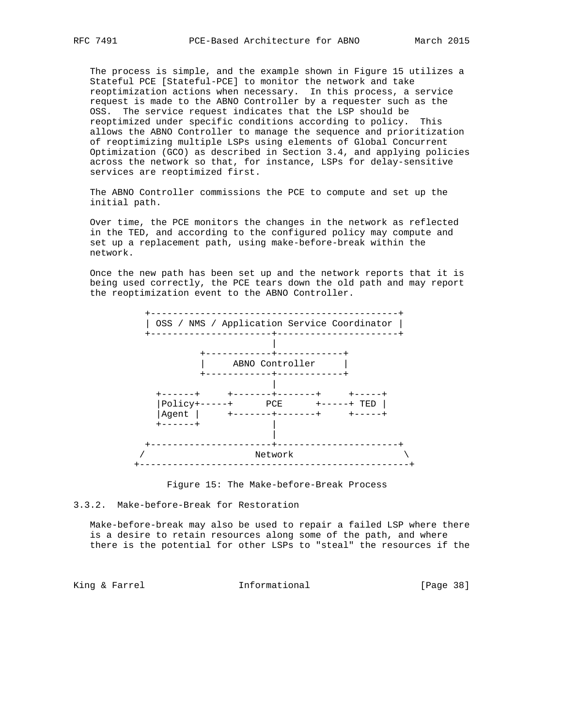The process is simple, and the example shown in Figure 15 utilizes a Stateful PCE [Stateful-PCE] to monitor the network and take reoptimization actions when necessary. In this process, a service request is made to the ABNO Controller by a requester such as the OSS. The service request indicates that the LSP should be reoptimized under specific conditions according to policy. This allows the ABNO Controller to manage the sequence and prioritization of reoptimizing multiple LSPs using elements of Global Concurrent Optimization (GCO) as described in Section 3.4, and applying policies across the network so that, for instance, LSPs for delay-sensitive services are reoptimized first.

 The ABNO Controller commissions the PCE to compute and set up the initial path.

 Over time, the PCE monitors the changes in the network as reflected in the TED, and according to the configured policy may compute and set up a replacement path, using make-before-break within the network.

 Once the new path has been set up and the network reports that it is being used correctly, the PCE tears down the old path and may report the reoptimization event to the ABNO Controller.





3.3.2. Make-before-Break for Restoration

 Make-before-break may also be used to repair a failed LSP where there is a desire to retain resources along some of the path, and where there is the potential for other LSPs to "steal" the resources if the

King & Farrel **Informational** [Page 38]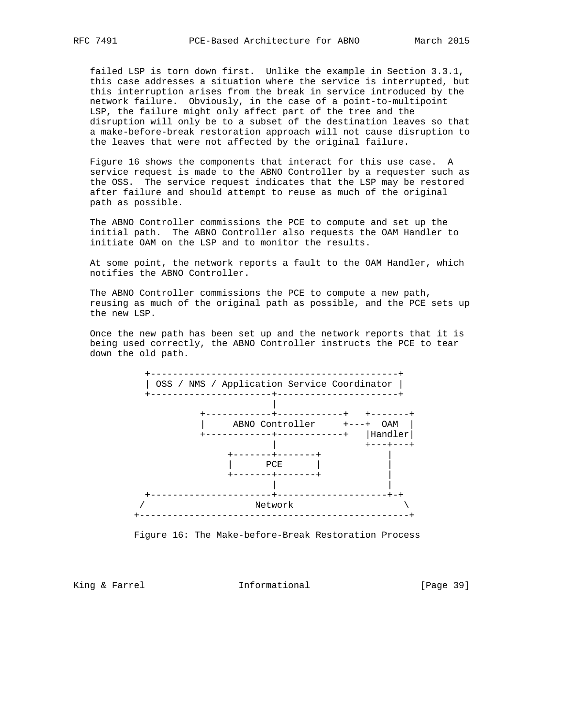failed LSP is torn down first. Unlike the example in Section 3.3.1, this case addresses a situation where the service is interrupted, but this interruption arises from the break in service introduced by the network failure. Obviously, in the case of a point-to-multipoint LSP, the failure might only affect part of the tree and the disruption will only be to a subset of the destination leaves so that a make-before-break restoration approach will not cause disruption to the leaves that were not affected by the original failure.

 Figure 16 shows the components that interact for this use case. A service request is made to the ABNO Controller by a requester such as the OSS. The service request indicates that the LSP may be restored after failure and should attempt to reuse as much of the original path as possible.

 The ABNO Controller commissions the PCE to compute and set up the initial path. The ABNO Controller also requests the OAM Handler to initiate OAM on the LSP and to monitor the results.

 At some point, the network reports a fault to the OAM Handler, which notifies the ABNO Controller.

 The ABNO Controller commissions the PCE to compute a new path, reusing as much of the original path as possible, and the PCE sets up the new LSP.

 Once the new path has been set up and the network reports that it is being used correctly, the ABNO Controller instructs the PCE to tear down the old path.



Figure 16: The Make-before-Break Restoration Process

King & Farrel **Informational** [Page 39]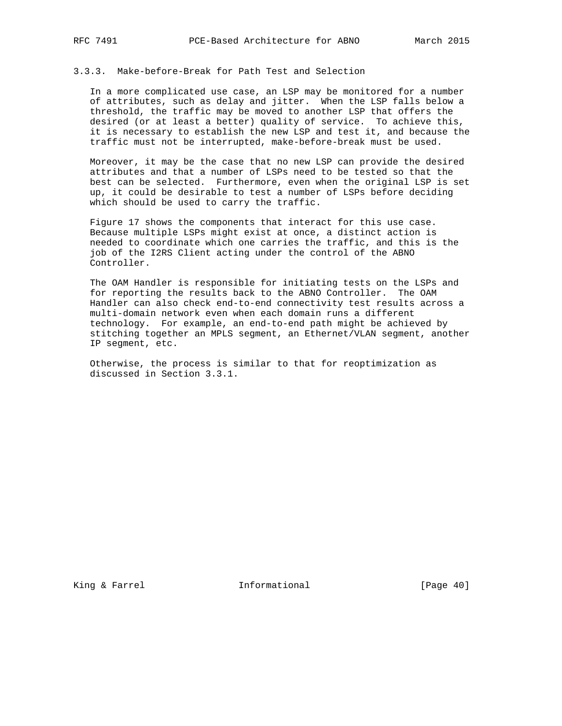# 3.3.3. Make-before-Break for Path Test and Selection

 In a more complicated use case, an LSP may be monitored for a number of attributes, such as delay and jitter. When the LSP falls below a threshold, the traffic may be moved to another LSP that offers the desired (or at least a better) quality of service. To achieve this, it is necessary to establish the new LSP and test it, and because the traffic must not be interrupted, make-before-break must be used.

 Moreover, it may be the case that no new LSP can provide the desired attributes and that a number of LSPs need to be tested so that the best can be selected. Furthermore, even when the original LSP is set up, it could be desirable to test a number of LSPs before deciding which should be used to carry the traffic.

 Figure 17 shows the components that interact for this use case. Because multiple LSPs might exist at once, a distinct action is needed to coordinate which one carries the traffic, and this is the job of the I2RS Client acting under the control of the ABNO Controller.

 The OAM Handler is responsible for initiating tests on the LSPs and for reporting the results back to the ABNO Controller. The OAM Handler can also check end-to-end connectivity test results across a multi-domain network even when each domain runs a different technology. For example, an end-to-end path might be achieved by stitching together an MPLS segment, an Ethernet/VLAN segment, another IP segment, etc.

 Otherwise, the process is similar to that for reoptimization as discussed in Section 3.3.1.

King & Farrel **Informational** [Page 40]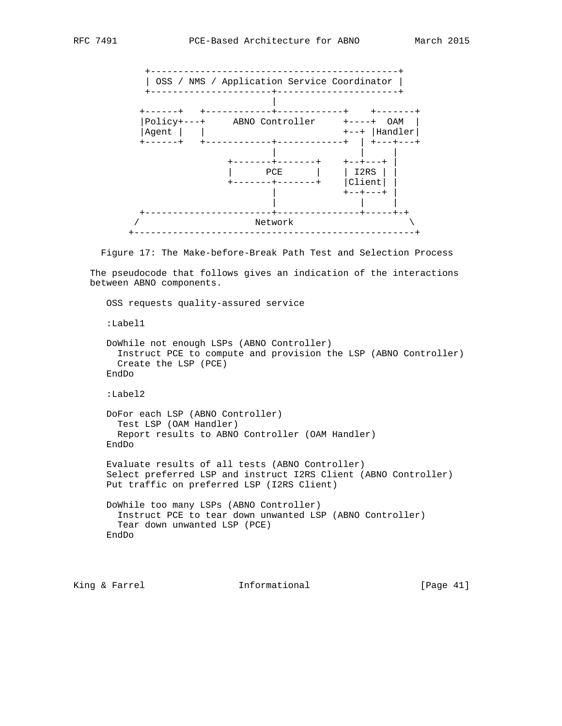

Figure 17: The Make-before-Break Path Test and Selection Process

 The pseudocode that follows gives an indication of the interactions between ABNO components.

```
 OSS requests quality-assured service
:Label1
DoWhile not enough LSPs (ABNO Controller)
  Instruct PCE to compute and provision the LSP (ABNO Controller)
  Create the LSP (PCE)
EndDo
:Label2
DoFor each LSP (ABNO Controller)
 Test LSP (OAM Handler)
 Report results to ABNO Controller (OAM Handler)
EndDo
Evaluate results of all tests (ABNO Controller)
Select preferred LSP and instruct I2RS Client (ABNO Controller)
Put traffic on preferred LSP (I2RS Client)
DoWhile too many LSPs (ABNO Controller)
  Instruct PCE to tear down unwanted LSP (ABNO Controller)
  Tear down unwanted LSP (PCE)
EndDo
```
King & Farrel **Informational** [Page 41]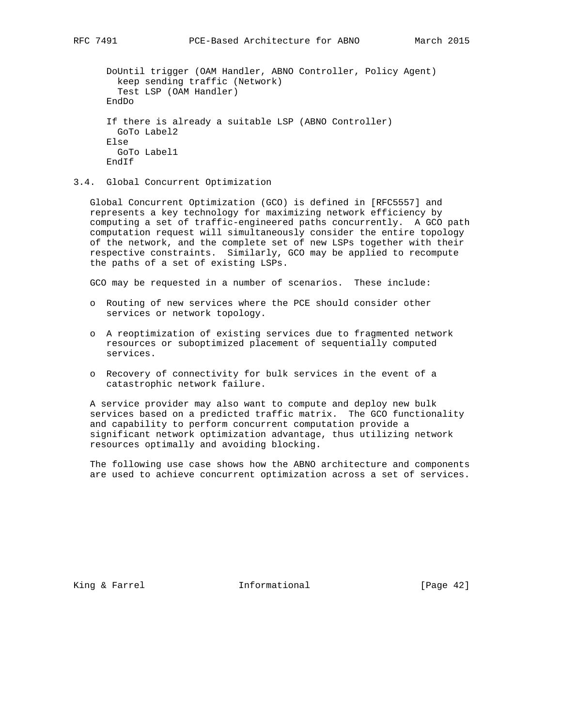```
 DoUntil trigger (OAM Handler, ABNO Controller, Policy Agent)
 keep sending traffic (Network)
  Test LSP (OAM Handler)
EndDo
If there is already a suitable LSP (ABNO Controller)
 GoTo Label2
Else
 GoTo Label1
EndIf
```

```
3.4. Global Concurrent Optimization
```
 Global Concurrent Optimization (GCO) is defined in [RFC5557] and represents a key technology for maximizing network efficiency by computing a set of traffic-engineered paths concurrently. A GCO path computation request will simultaneously consider the entire topology of the network, and the complete set of new LSPs together with their respective constraints. Similarly, GCO may be applied to recompute the paths of a set of existing LSPs.

GCO may be requested in a number of scenarios. These include:

- o Routing of new services where the PCE should consider other services or network topology.
- o A reoptimization of existing services due to fragmented network resources or suboptimized placement of sequentially computed services.
- o Recovery of connectivity for bulk services in the event of a catastrophic network failure.

 A service provider may also want to compute and deploy new bulk services based on a predicted traffic matrix. The GCO functionality and capability to perform concurrent computation provide a significant network optimization advantage, thus utilizing network resources optimally and avoiding blocking.

 The following use case shows how the ABNO architecture and components are used to achieve concurrent optimization across a set of services.

King & Farrel **Informational** [Page 42]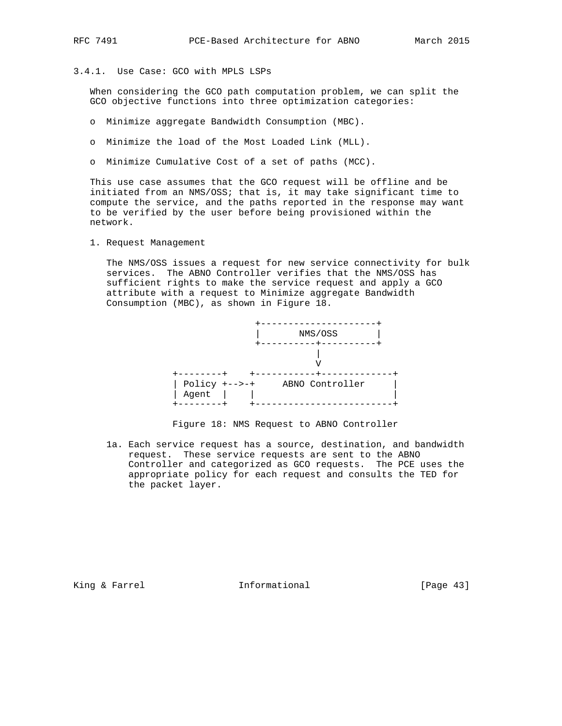3.4.1. Use Case: GCO with MPLS LSPs

 When considering the GCO path computation problem, we can split the GCO objective functions into three optimization categories:

- o Minimize aggregate Bandwidth Consumption (MBC).
- o Minimize the load of the Most Loaded Link (MLL).
- o Minimize Cumulative Cost of a set of paths (MCC).

 This use case assumes that the GCO request will be offline and be initiated from an NMS/OSS; that is, it may take significant time to compute the service, and the paths reported in the response may want to be verified by the user before being provisioned within the network.

1. Request Management

 The NMS/OSS issues a request for new service connectivity for bulk services. The ABNO Controller verifies that the NMS/OSS has sufficient rights to make the service request and apply a GCO attribute with a request to Minimize aggregate Bandwidth Consumption (MBC), as shown in Figure 18.



Figure 18: NMS Request to ABNO Controller

 1a. Each service request has a source, destination, and bandwidth request. These service requests are sent to the ABNO Controller and categorized as GCO requests. The PCE uses the appropriate policy for each request and consults the TED for the packet layer.

King & Farrel **Informational** [Page 43]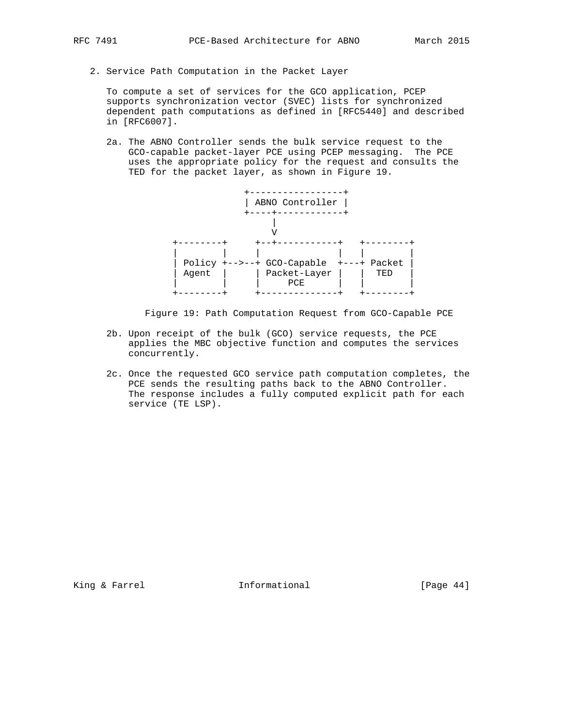2. Service Path Computation in the Packet Layer

 To compute a set of services for the GCO application, PCEP supports synchronization vector (SVEC) lists for synchronized dependent path computations as defined in [RFC5440] and described in [RFC6007].

 2a. The ABNO Controller sends the bulk service request to the GCO-capable packet-layer PCE using PCEP messaging. The PCE uses the appropriate policy for the request and consults the TED for the packet layer, as shown in Figure 19.



Figure 19: Path Computation Request from GCO-Capable PCE

- 2b. Upon receipt of the bulk (GCO) service requests, the PCE applies the MBC objective function and computes the services concurrently.
- 2c. Once the requested GCO service path computation completes, the PCE sends the resulting paths back to the ABNO Controller. The response includes a fully computed explicit path for each service (TE LSP).

King & Farrel **Informational** [Page 44]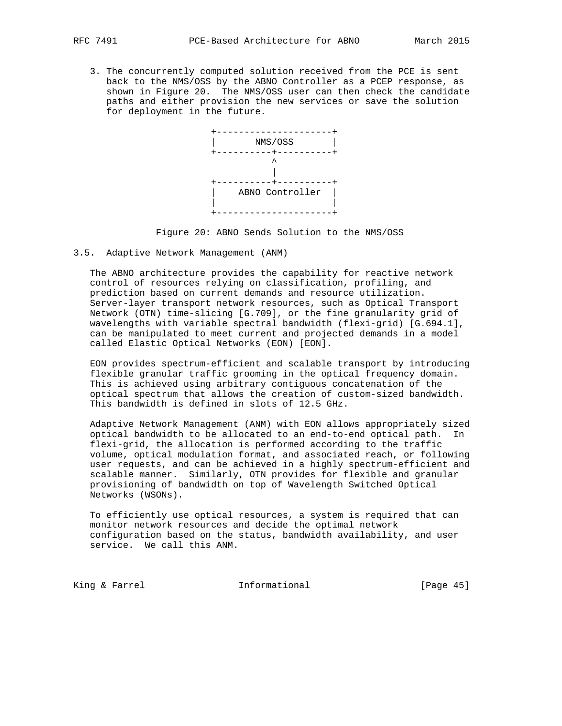3. The concurrently computed solution received from the PCE is sent back to the NMS/OSS by the ABNO Controller as a PCEP response, as shown in Figure 20. The NMS/OSS user can then check the candidate paths and either provision the new services or save the solution for deployment in the future.



Figure 20: ABNO Sends Solution to the NMS/OSS

3.5. Adaptive Network Management (ANM)

 The ABNO architecture provides the capability for reactive network control of resources relying on classification, profiling, and prediction based on current demands and resource utilization. Server-layer transport network resources, such as Optical Transport Network (OTN) time-slicing [G.709], or the fine granularity grid of wavelengths with variable spectral bandwidth (flexi-grid) [G.694.1], can be manipulated to meet current and projected demands in a model called Elastic Optical Networks (EON) [EON].

 EON provides spectrum-efficient and scalable transport by introducing flexible granular traffic grooming in the optical frequency domain. This is achieved using arbitrary contiguous concatenation of the optical spectrum that allows the creation of custom-sized bandwidth. This bandwidth is defined in slots of 12.5 GHz.

 Adaptive Network Management (ANM) with EON allows appropriately sized optical bandwidth to be allocated to an end-to-end optical path. In flexi-grid, the allocation is performed according to the traffic volume, optical modulation format, and associated reach, or following user requests, and can be achieved in a highly spectrum-efficient and scalable manner. Similarly, OTN provides for flexible and granular provisioning of bandwidth on top of Wavelength Switched Optical Networks (WSONs).

 To efficiently use optical resources, a system is required that can monitor network resources and decide the optimal network configuration based on the status, bandwidth availability, and user service. We call this ANM.

King & Farrel **Informational** [Page 45]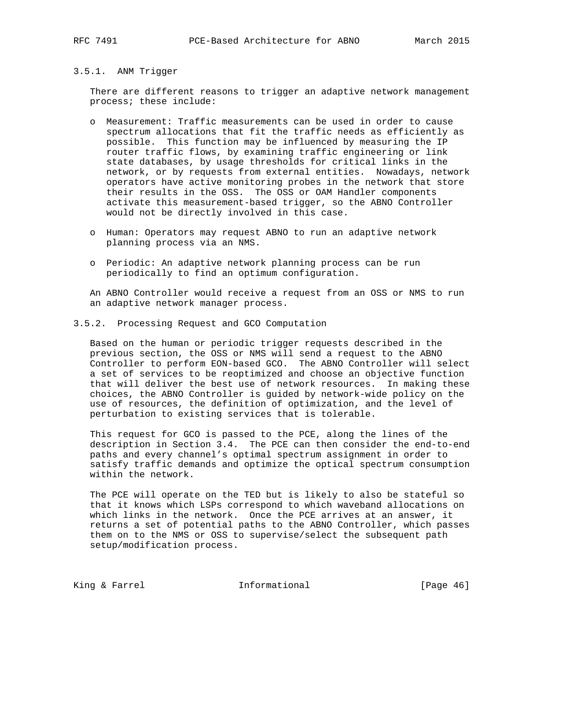# 3.5.1. ANM Trigger

 There are different reasons to trigger an adaptive network management process; these include:

- o Measurement: Traffic measurements can be used in order to cause spectrum allocations that fit the traffic needs as efficiently as possible. This function may be influenced by measuring the IP router traffic flows, by examining traffic engineering or link state databases, by usage thresholds for critical links in the network, or by requests from external entities. Nowadays, network operators have active monitoring probes in the network that store their results in the OSS. The OSS or OAM Handler components activate this measurement-based trigger, so the ABNO Controller would not be directly involved in this case.
- o Human: Operators may request ABNO to run an adaptive network planning process via an NMS.
- o Periodic: An adaptive network planning process can be run periodically to find an optimum configuration.

 An ABNO Controller would receive a request from an OSS or NMS to run an adaptive network manager process.

3.5.2. Processing Request and GCO Computation

 Based on the human or periodic trigger requests described in the previous section, the OSS or NMS will send a request to the ABNO Controller to perform EON-based GCO. The ABNO Controller will select a set of services to be reoptimized and choose an objective function that will deliver the best use of network resources. In making these choices, the ABNO Controller is guided by network-wide policy on the use of resources, the definition of optimization, and the level of perturbation to existing services that is tolerable.

 This request for GCO is passed to the PCE, along the lines of the description in Section 3.4. The PCE can then consider the end-to-end paths and every channel's optimal spectrum assignment in order to satisfy traffic demands and optimize the optical spectrum consumption within the network.

 The PCE will operate on the TED but is likely to also be stateful so that it knows which LSPs correspond to which waveband allocations on which links in the network. Once the PCE arrives at an answer, it returns a set of potential paths to the ABNO Controller, which passes them on to the NMS or OSS to supervise/select the subsequent path setup/modification process.

King & Farrel **Informational** [Page 46]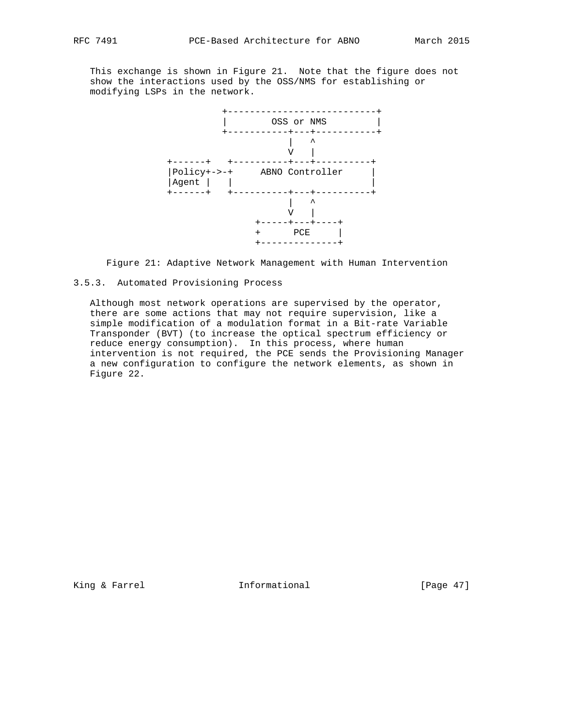This exchange is shown in Figure 21. Note that the figure does not show the interactions used by the OSS/NMS for establishing or modifying LSPs in the network.



Figure 21: Adaptive Network Management with Human Intervention

# 3.5.3. Automated Provisioning Process

 Although most network operations are supervised by the operator, there are some actions that may not require supervision, like a simple modification of a modulation format in a Bit-rate Variable Transponder (BVT) (to increase the optical spectrum efficiency or reduce energy consumption). In this process, where human intervention is not required, the PCE sends the Provisioning Manager a new configuration to configure the network elements, as shown in Figure 22.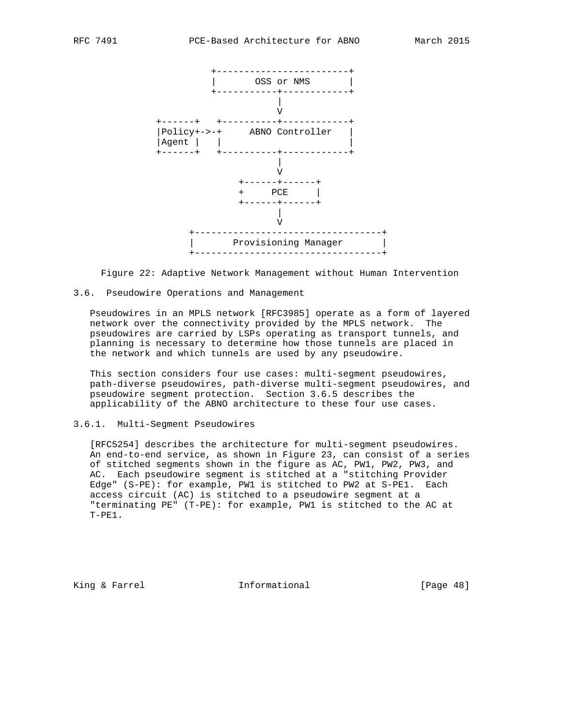

Figure 22: Adaptive Network Management without Human Intervention

#### 3.6. Pseudowire Operations and Management

 Pseudowires in an MPLS network [RFC3985] operate as a form of layered network over the connectivity provided by the MPLS network. The pseudowires are carried by LSPs operating as transport tunnels, and planning is necessary to determine how those tunnels are placed in the network and which tunnels are used by any pseudowire.

 This section considers four use cases: multi-segment pseudowires, path-diverse pseudowires, path-diverse multi-segment pseudowires, and pseudowire segment protection. Section 3.6.5 describes the applicability of the ABNO architecture to these four use cases.

### 3.6.1. Multi-Segment Pseudowires

 [RFC5254] describes the architecture for multi-segment pseudowires. An end-to-end service, as shown in Figure 23, can consist of a series of stitched segments shown in the figure as AC, PW1, PW2, PW3, and AC. Each pseudowire segment is stitched at a "stitching Provider Edge" (S-PE): for example, PW1 is stitched to PW2 at S-PE1. Each access circuit (AC) is stitched to a pseudowire segment at a "terminating PE" (T-PE): for example, PW1 is stitched to the AC at T-PE1.

King & Farrel **Informational** [Page 48]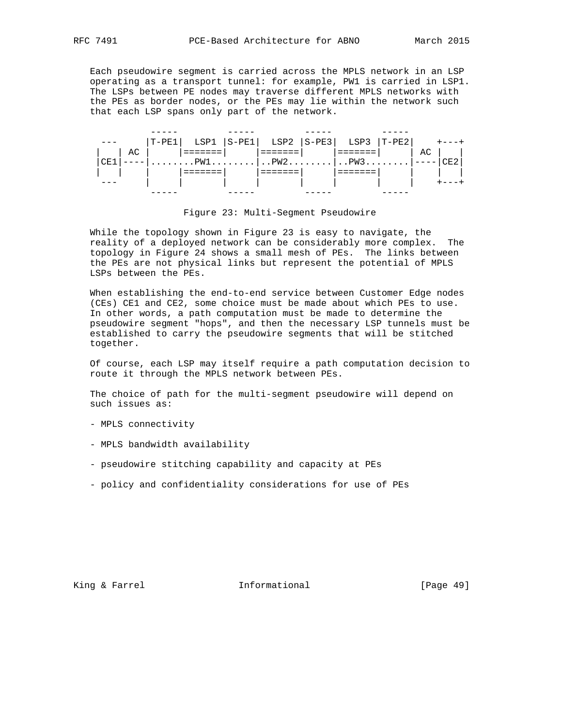Each pseudowire segment is carried across the MPLS network in an LSP operating as a transport tunnel: for example, PW1 is carried in LSP1. The LSPs between PE nodes may traverse different MPLS networks with the PEs as border nodes, or the PEs may lie within the network such that each LSP spans only part of the network.

|            |      |  | $ T-PE1 $ LSP1 $ S-PE1 $ LSP2 $ S-PE3 $ LSP3 $ T-PE2 $ +---+ |  |    |  |
|------------|------|--|--------------------------------------------------------------|--|----|--|
|            | AC I |  | ____________                                                 |  | AC |  |
| <b>CE1</b> |      |  |                                                              |  |    |  |
|            |      |  |                                                              |  |    |  |
|            |      |  |                                                              |  |    |  |
|            |      |  |                                                              |  |    |  |

#### Figure 23: Multi-Segment Pseudowire

 While the topology shown in Figure 23 is easy to navigate, the reality of a deployed network can be considerably more complex. The topology in Figure 24 shows a small mesh of PEs. The links between the PEs are not physical links but represent the potential of MPLS LSPs between the PEs.

 When establishing the end-to-end service between Customer Edge nodes (CEs) CE1 and CE2, some choice must be made about which PEs to use. In other words, a path computation must be made to determine the pseudowire segment "hops", and then the necessary LSP tunnels must be established to carry the pseudowire segments that will be stitched together.

 Of course, each LSP may itself require a path computation decision to route it through the MPLS network between PEs.

 The choice of path for the multi-segment pseudowire will depend on such issues as:

- MPLS connectivity
- MPLS bandwidth availability
- pseudowire stitching capability and capacity at PEs
- policy and confidentiality considerations for use of PEs

King & Farrel **Informational** [Page 49]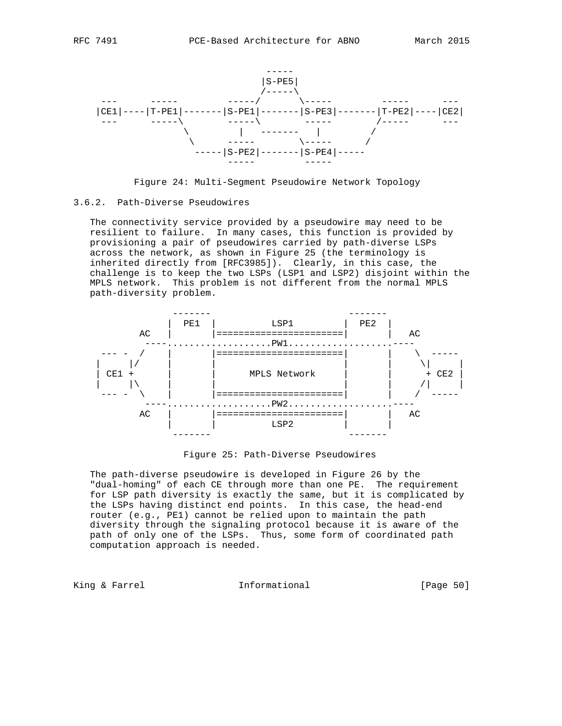



#### 3.6.2. Path-Diverse Pseudowires

 The connectivity service provided by a pseudowire may need to be resilient to failure. In many cases, this function is provided by provisioning a pair of pseudowires carried by path-diverse LSPs across the network, as shown in Figure 25 (the terminology is inherited directly from [RFC3985]). Clearly, in this case, the challenge is to keep the two LSPs (LSP1 and LSP2) disjoint within the MPLS network. This problem is not different from the normal MPLS path-diversity problem.



Figure 25: Path-Diverse Pseudowires

 The path-diverse pseudowire is developed in Figure 26 by the "dual-homing" of each CE through more than one PE. The requirement for LSP path diversity is exactly the same, but it is complicated by the LSPs having distinct end points. In this case, the head-end router (e.g., PE1) cannot be relied upon to maintain the path diversity through the signaling protocol because it is aware of the path of only one of the LSPs. Thus, some form of coordinated path computation approach is needed.

King & Farrel **Informational** [Page 50]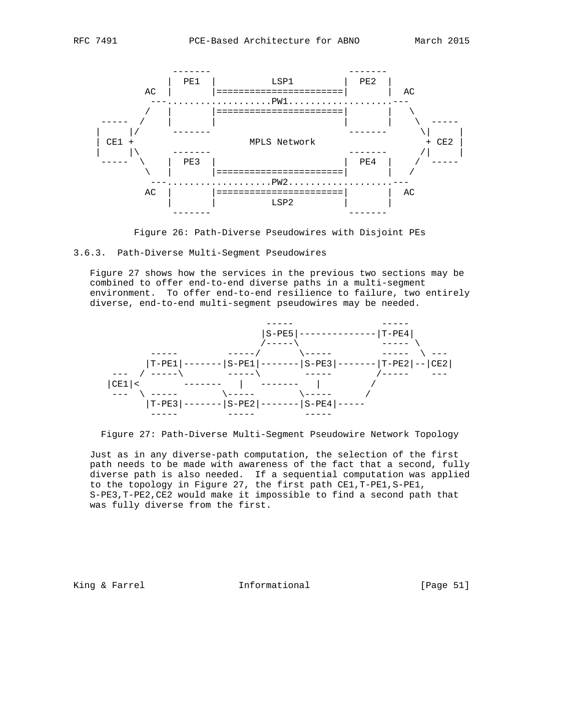



Figure 26: Path-Diverse Pseudowires with Disjoint PEs



 Figure 27 shows how the services in the previous two sections may be combined to offer end-to-end diverse paths in a multi-segment environment. To offer end-to-end resilience to failure, two entirely diverse, end-to-end multi-segment pseudowires may be needed.



Figure 27: Path-Diverse Multi-Segment Pseudowire Network Topology

 Just as in any diverse-path computation, the selection of the first path needs to be made with awareness of the fact that a second, fully diverse path is also needed. If a sequential computation was applied to the topology in Figure 27, the first path CE1,T-PE1,S-PE1, S-PE3,T-PE2,CE2 would make it impossible to find a second path that was fully diverse from the first.

King & Farrel **Informational** [Page 51]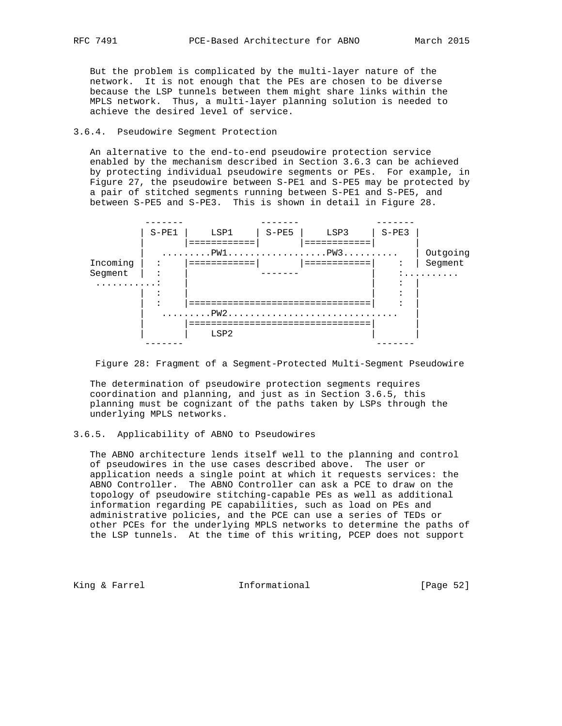But the problem is complicated by the multi-layer nature of the network. It is not enough that the PEs are chosen to be diverse because the LSP tunnels between them might share links within the MPLS network. Thus, a multi-layer planning solution is needed to achieve the desired level of service.

#### 3.6.4. Pseudowire Segment Protection

 An alternative to the end-to-end pseudowire protection service enabled by the mechanism described in Section 3.6.3 can be achieved by protecting individual pseudowire segments or PEs. For example, in Figure 27, the pseudowire between S-PE1 and S-PE5 may be protected by a pair of stitched segments running between S-PE1 and S-PE5, and between S-PE5 and S-PE3. This is shown in detail in Figure 28.



Figure 28: Fragment of a Segment-Protected Multi-Segment Pseudowire

 The determination of pseudowire protection segments requires coordination and planning, and just as in Section 3.6.5, this planning must be cognizant of the paths taken by LSPs through the underlying MPLS networks.

# 3.6.5. Applicability of ABNO to Pseudowires

 The ABNO architecture lends itself well to the planning and control of pseudowires in the use cases described above. The user or application needs a single point at which it requests services: the ABNO Controller. The ABNO Controller can ask a PCE to draw on the topology of pseudowire stitching-capable PEs as well as additional information regarding PE capabilities, such as load on PEs and administrative policies, and the PCE can use a series of TEDs or other PCEs for the underlying MPLS networks to determine the paths of the LSP tunnels. At the time of this writing, PCEP does not support

King & Farrel **Informational** [Page 52]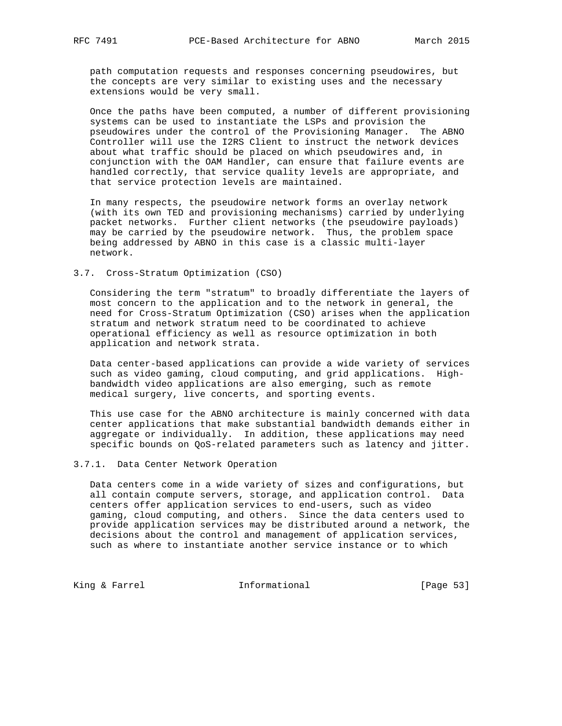path computation requests and responses concerning pseudowires, but the concepts are very similar to existing uses and the necessary extensions would be very small.

 Once the paths have been computed, a number of different provisioning systems can be used to instantiate the LSPs and provision the pseudowires under the control of the Provisioning Manager. The ABNO Controller will use the I2RS Client to instruct the network devices about what traffic should be placed on which pseudowires and, in conjunction with the OAM Handler, can ensure that failure events are handled correctly, that service quality levels are appropriate, and that service protection levels are maintained.

 In many respects, the pseudowire network forms an overlay network (with its own TED and provisioning mechanisms) carried by underlying packet networks. Further client networks (the pseudowire payloads) may be carried by the pseudowire network. Thus, the problem space being addressed by ABNO in this case is a classic multi-layer network.

#### 3.7. Cross-Stratum Optimization (CSO)

 Considering the term "stratum" to broadly differentiate the layers of most concern to the application and to the network in general, the need for Cross-Stratum Optimization (CSO) arises when the application stratum and network stratum need to be coordinated to achieve operational efficiency as well as resource optimization in both application and network strata.

 Data center-based applications can provide a wide variety of services such as video gaming, cloud computing, and grid applications. High bandwidth video applications are also emerging, such as remote medical surgery, live concerts, and sporting events.

 This use case for the ABNO architecture is mainly concerned with data center applications that make substantial bandwidth demands either in aggregate or individually. In addition, these applications may need specific bounds on QoS-related parameters such as latency and jitter.

#### 3.7.1. Data Center Network Operation

 Data centers come in a wide variety of sizes and configurations, but all contain compute servers, storage, and application control. Data centers offer application services to end-users, such as video gaming, cloud computing, and others. Since the data centers used to provide application services may be distributed around a network, the decisions about the control and management of application services, such as where to instantiate another service instance or to which

King & Farrel **Informational** [Page 53]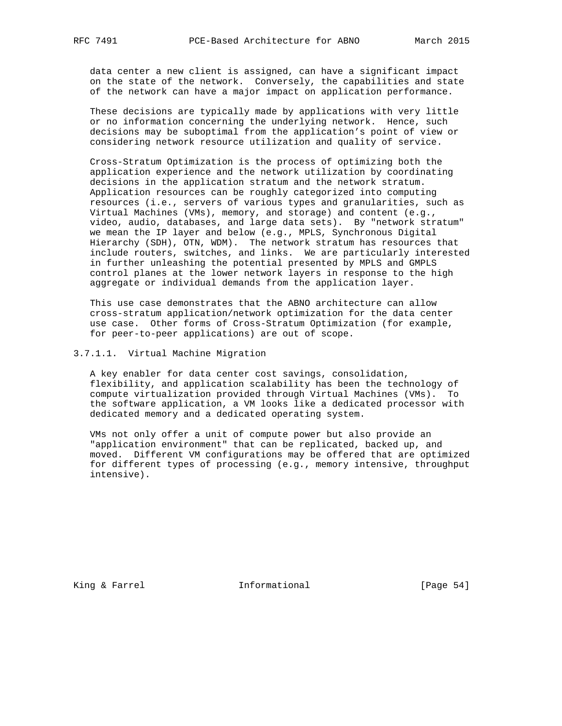data center a new client is assigned, can have a significant impact on the state of the network. Conversely, the capabilities and state of the network can have a major impact on application performance.

 These decisions are typically made by applications with very little or no information concerning the underlying network. Hence, such decisions may be suboptimal from the application's point of view or considering network resource utilization and quality of service.

 Cross-Stratum Optimization is the process of optimizing both the application experience and the network utilization by coordinating decisions in the application stratum and the network stratum. Application resources can be roughly categorized into computing resources (i.e., servers of various types and granularities, such as Virtual Machines (VMs), memory, and storage) and content (e.g., video, audio, databases, and large data sets). By "network stratum" we mean the IP layer and below (e.g., MPLS, Synchronous Digital Hierarchy (SDH), OTN, WDM). The network stratum has resources that include routers, switches, and links. We are particularly interested in further unleashing the potential presented by MPLS and GMPLS control planes at the lower network layers in response to the high aggregate or individual demands from the application layer.

 This use case demonstrates that the ABNO architecture can allow cross-stratum application/network optimization for the data center use case. Other forms of Cross-Stratum Optimization (for example, for peer-to-peer applications) are out of scope.

3.7.1.1. Virtual Machine Migration

 A key enabler for data center cost savings, consolidation, flexibility, and application scalability has been the technology of compute virtualization provided through Virtual Machines (VMs). To the software application, a VM looks like a dedicated processor with dedicated memory and a dedicated operating system.

 VMs not only offer a unit of compute power but also provide an "application environment" that can be replicated, backed up, and moved. Different VM configurations may be offered that are optimized for different types of processing (e.g., memory intensive, throughput intensive).

King & Farrel **Informational** [Page 54]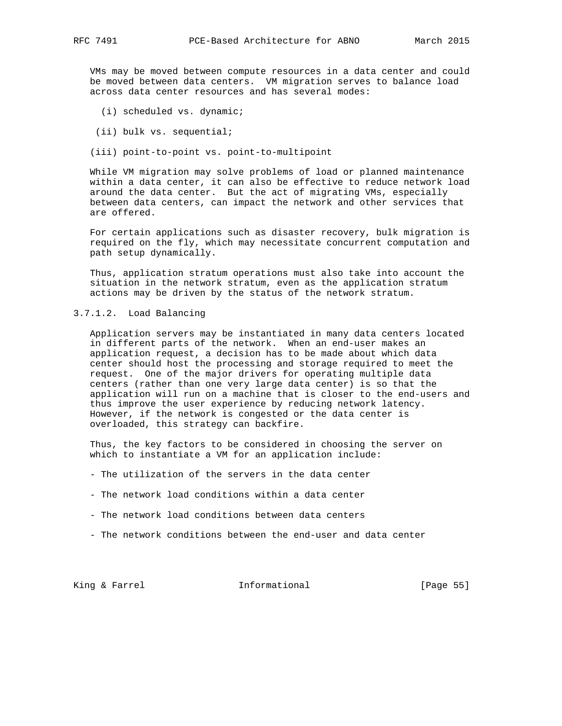VMs may be moved between compute resources in a data center and could be moved between data centers. VM migration serves to balance load across data center resources and has several modes:

- (i) scheduled vs. dynamic;
- (ii) bulk vs. sequential;
- (iii) point-to-point vs. point-to-multipoint

 While VM migration may solve problems of load or planned maintenance within a data center, it can also be effective to reduce network load around the data center. But the act of migrating VMs, especially between data centers, can impact the network and other services that are offered.

 For certain applications such as disaster recovery, bulk migration is required on the fly, which may necessitate concurrent computation and path setup dynamically.

 Thus, application stratum operations must also take into account the situation in the network stratum, even as the application stratum actions may be driven by the status of the network stratum.

# 3.7.1.2. Load Balancing

 Application servers may be instantiated in many data centers located in different parts of the network. When an end-user makes an application request, a decision has to be made about which data center should host the processing and storage required to meet the request. One of the major drivers for operating multiple data centers (rather than one very large data center) is so that the application will run on a machine that is closer to the end-users and thus improve the user experience by reducing network latency. However, if the network is congested or the data center is overloaded, this strategy can backfire.

 Thus, the key factors to be considered in choosing the server on which to instantiate a VM for an application include:

- The utilization of the servers in the data center
- The network load conditions within a data center
- The network load conditions between data centers
- The network conditions between the end-user and data center

King & Farrel **Informational** [Page 55]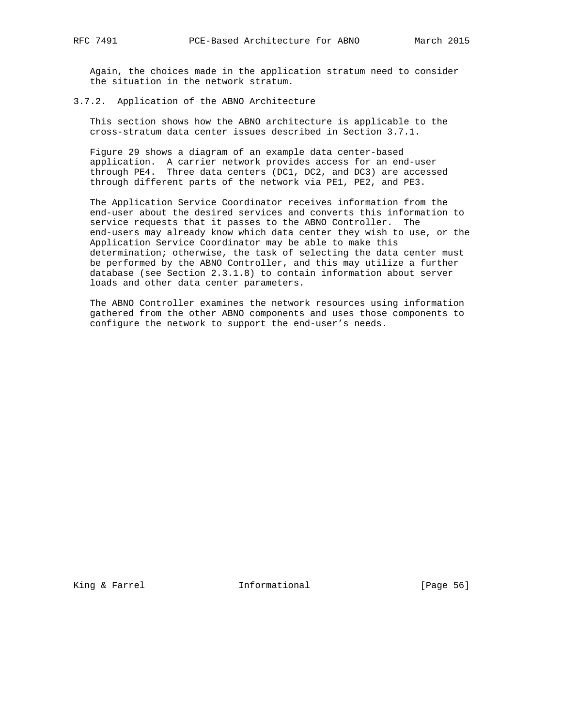Again, the choices made in the application stratum need to consider the situation in the network stratum.

#### 3.7.2. Application of the ABNO Architecture

 This section shows how the ABNO architecture is applicable to the cross-stratum data center issues described in Section 3.7.1.

 Figure 29 shows a diagram of an example data center-based application. A carrier network provides access for an end-user through PE4. Three data centers (DC1, DC2, and DC3) are accessed through different parts of the network via PE1, PE2, and PE3.

 The Application Service Coordinator receives information from the end-user about the desired services and converts this information to service requests that it passes to the ABNO Controller. The end-users may already know which data center they wish to use, or the Application Service Coordinator may be able to make this determination; otherwise, the task of selecting the data center must be performed by the ABNO Controller, and this may utilize a further database (see Section 2.3.1.8) to contain information about server loads and other data center parameters.

 The ABNO Controller examines the network resources using information gathered from the other ABNO components and uses those components to configure the network to support the end-user's needs.

King & Farrel **Informational** [Page 56]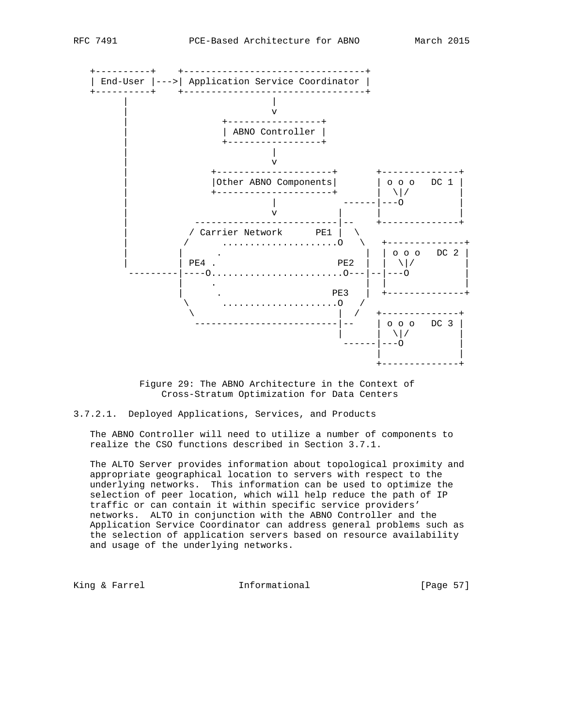

 Figure 29: The ABNO Architecture in the Context of Cross-Stratum Optimization for Data Centers

3.7.2.1. Deployed Applications, Services, and Products

 The ABNO Controller will need to utilize a number of components to realize the CSO functions described in Section 3.7.1.

 The ALTO Server provides information about topological proximity and appropriate geographical location to servers with respect to the underlying networks. This information can be used to optimize the selection of peer location, which will help reduce the path of IP traffic or can contain it within specific service providers' networks. ALTO in conjunction with the ABNO Controller and the Application Service Coordinator can address general problems such as the selection of application servers based on resource availability and usage of the underlying networks.

King & Farrel **Informational** [Page 57]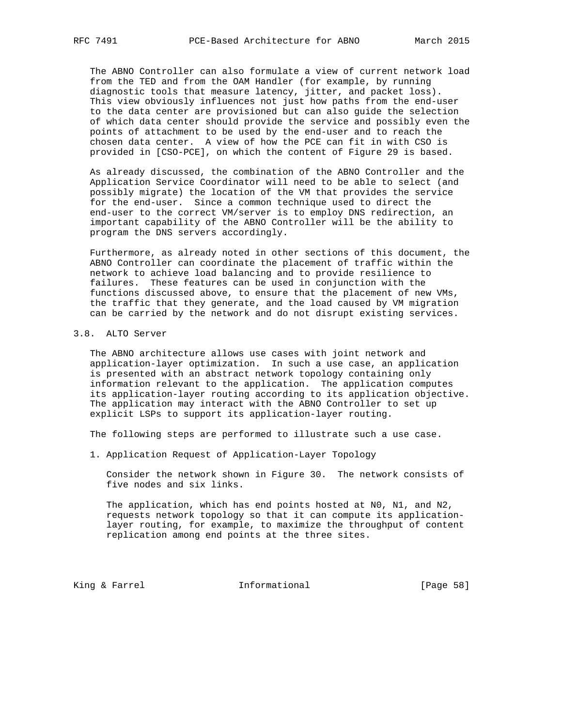The ABNO Controller can also formulate a view of current network load from the TED and from the OAM Handler (for example, by running diagnostic tools that measure latency, jitter, and packet loss). This view obviously influences not just how paths from the end-user to the data center are provisioned but can also guide the selection of which data center should provide the service and possibly even the points of attachment to be used by the end-user and to reach the chosen data center. A view of how the PCE can fit in with CSO is provided in [CSO-PCE], on which the content of Figure 29 is based.

 As already discussed, the combination of the ABNO Controller and the Application Service Coordinator will need to be able to select (and possibly migrate) the location of the VM that provides the service for the end-user. Since a common technique used to direct the end-user to the correct VM/server is to employ DNS redirection, an important capability of the ABNO Controller will be the ability to program the DNS servers accordingly.

 Furthermore, as already noted in other sections of this document, the ABNO Controller can coordinate the placement of traffic within the network to achieve load balancing and to provide resilience to failures. These features can be used in conjunction with the functions discussed above, to ensure that the placement of new VMs, the traffic that they generate, and the load caused by VM migration can be carried by the network and do not disrupt existing services.

# 3.8. ALTO Server

 The ABNO architecture allows use cases with joint network and application-layer optimization. In such a use case, an application is presented with an abstract network topology containing only information relevant to the application. The application computes its application-layer routing according to its application objective. The application may interact with the ABNO Controller to set up explicit LSPs to support its application-layer routing.

The following steps are performed to illustrate such a use case.

1. Application Request of Application-Layer Topology

 Consider the network shown in Figure 30. The network consists of five nodes and six links.

 The application, which has end points hosted at N0, N1, and N2, requests network topology so that it can compute its application layer routing, for example, to maximize the throughput of content replication among end points at the three sites.

King & Farrel **Informational** [Page 58]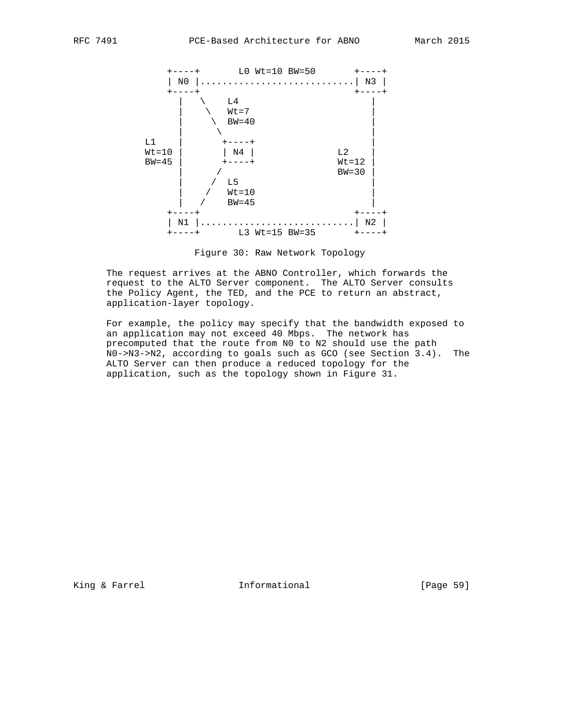

Figure 30: Raw Network Topology

 The request arrives at the ABNO Controller, which forwards the request to the ALTO Server component. The ALTO Server consults the Policy Agent, the TED, and the PCE to return an abstract, application-layer topology.

 For example, the policy may specify that the bandwidth exposed to an application may not exceed 40 Mbps. The network has precomputed that the route from N0 to N2 should use the path N0->N3->N2, according to goals such as GCO (see Section 3.4). The ALTO Server can then produce a reduced topology for the application, such as the topology shown in Figure 31.

King & Farrel **Informational** [Page 59]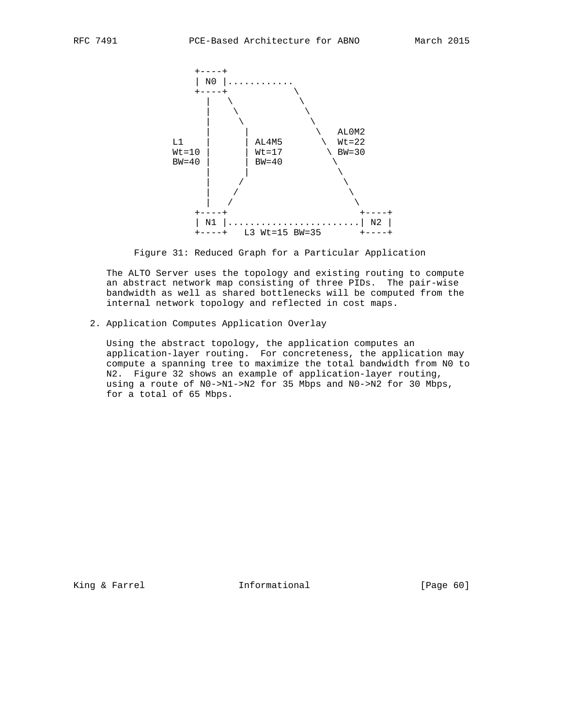

Figure 31: Reduced Graph for a Particular Application

 The ALTO Server uses the topology and existing routing to compute an abstract network map consisting of three PIDs. The pair-wise bandwidth as well as shared bottlenecks will be computed from the internal network topology and reflected in cost maps.

2. Application Computes Application Overlay

 Using the abstract topology, the application computes an application-layer routing. For concreteness, the application may compute a spanning tree to maximize the total bandwidth from N0 to N2. Figure 32 shows an example of application-layer routing, using a route of N0->N1->N2 for 35 Mbps and N0->N2 for 30 Mbps, for a total of 65 Mbps.

King & Farrel **Informational** [Page 60]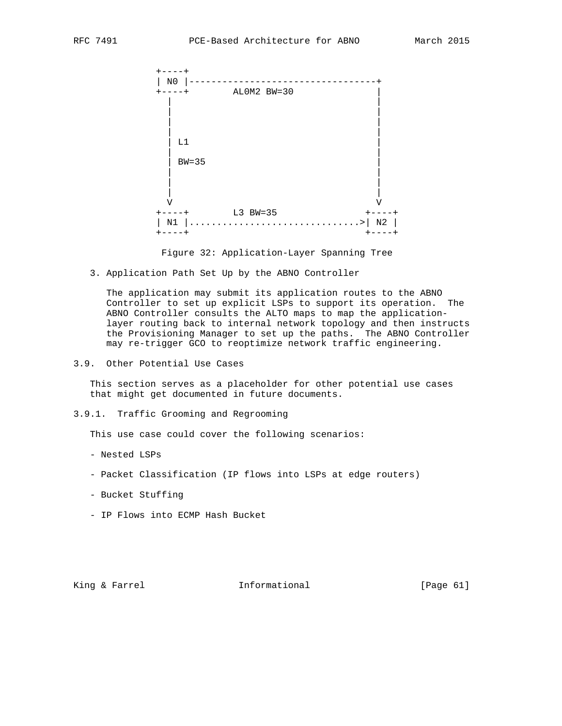

Figure 32: Application-Layer Spanning Tree

3. Application Path Set Up by the ABNO Controller

 The application may submit its application routes to the ABNO Controller to set up explicit LSPs to support its operation. The ABNO Controller consults the ALTO maps to map the application layer routing back to internal network topology and then instructs the Provisioning Manager to set up the paths. The ABNO Controller may re-trigger GCO to reoptimize network traffic engineering.

3.9. Other Potential Use Cases

 This section serves as a placeholder for other potential use cases that might get documented in future documents.

3.9.1. Traffic Grooming and Regrooming

This use case could cover the following scenarios:

- Nested LSPs
- Packet Classification (IP flows into LSPs at edge routers)
- Bucket Stuffing
- IP Flows into ECMP Hash Bucket

King & Farrel **Informational** [Page 61]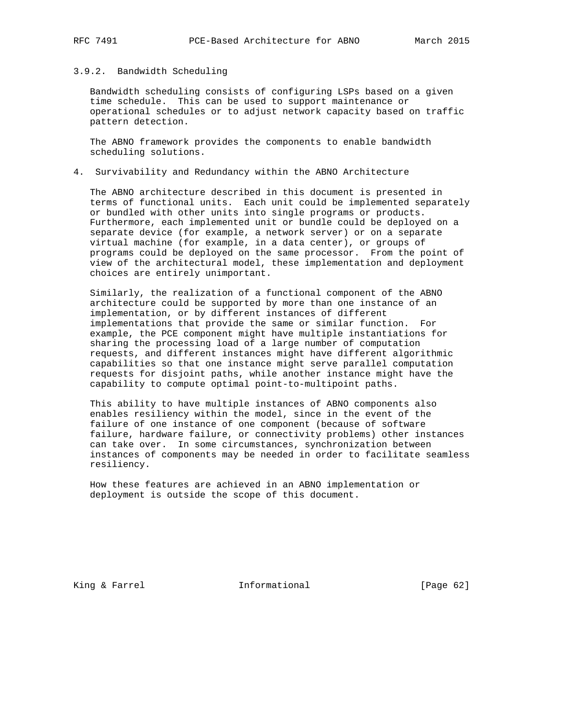# 3.9.2. Bandwidth Scheduling

 Bandwidth scheduling consists of configuring LSPs based on a given time schedule. This can be used to support maintenance or operational schedules or to adjust network capacity based on traffic pattern detection.

 The ABNO framework provides the components to enable bandwidth scheduling solutions.

### 4. Survivability and Redundancy within the ABNO Architecture

 The ABNO architecture described in this document is presented in terms of functional units. Each unit could be implemented separately or bundled with other units into single programs or products. Furthermore, each implemented unit or bundle could be deployed on a separate device (for example, a network server) or on a separate virtual machine (for example, in a data center), or groups of programs could be deployed on the same processor. From the point of view of the architectural model, these implementation and deployment choices are entirely unimportant.

 Similarly, the realization of a functional component of the ABNO architecture could be supported by more than one instance of an implementation, or by different instances of different implementations that provide the same or similar function. For example, the PCE component might have multiple instantiations for sharing the processing load of a large number of computation requests, and different instances might have different algorithmic capabilities so that one instance might serve parallel computation requests for disjoint paths, while another instance might have the capability to compute optimal point-to-multipoint paths.

 This ability to have multiple instances of ABNO components also enables resiliency within the model, since in the event of the failure of one instance of one component (because of software failure, hardware failure, or connectivity problems) other instances can take over. In some circumstances, synchronization between instances of components may be needed in order to facilitate seamless resiliency.

 How these features are achieved in an ABNO implementation or deployment is outside the scope of this document.

King & Farrel **Informational** [Page 62]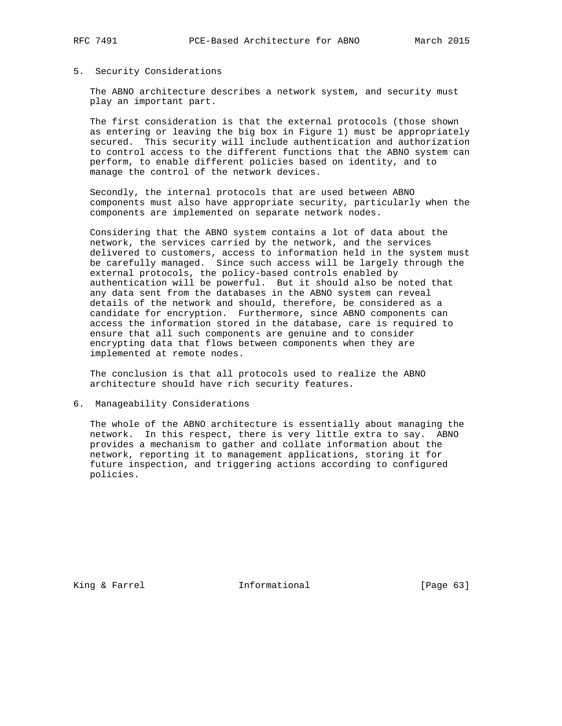#### 5. Security Considerations

 The ABNO architecture describes a network system, and security must play an important part.

 The first consideration is that the external protocols (those shown as entering or leaving the big box in Figure 1) must be appropriately secured. This security will include authentication and authorization to control access to the different functions that the ABNO system can perform, to enable different policies based on identity, and to manage the control of the network devices.

 Secondly, the internal protocols that are used between ABNO components must also have appropriate security, particularly when the components are implemented on separate network nodes.

 Considering that the ABNO system contains a lot of data about the network, the services carried by the network, and the services delivered to customers, access to information held in the system must be carefully managed. Since such access will be largely through the external protocols, the policy-based controls enabled by authentication will be powerful. But it should also be noted that any data sent from the databases in the ABNO system can reveal details of the network and should, therefore, be considered as a candidate for encryption. Furthermore, since ABNO components can access the information stored in the database, care is required to ensure that all such components are genuine and to consider encrypting data that flows between components when they are implemented at remote nodes.

 The conclusion is that all protocols used to realize the ABNO architecture should have rich security features.

6. Manageability Considerations

 The whole of the ABNO architecture is essentially about managing the network. In this respect, there is very little extra to say. ABNO provides a mechanism to gather and collate information about the network, reporting it to management applications, storing it for future inspection, and triggering actions according to configured policies.

King & Farrel **Informational** [Page 63]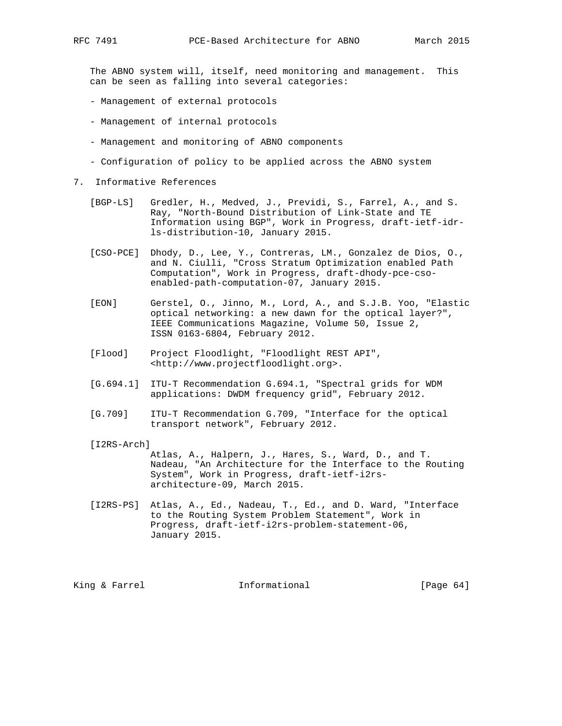The ABNO system will, itself, need monitoring and management. This can be seen as falling into several categories:

- Management of external protocols
- Management of internal protocols
- Management and monitoring of ABNO components
- Configuration of policy to be applied across the ABNO system
- 7. Informative References
	- [BGP-LS] Gredler, H., Medved, J., Previdi, S., Farrel, A., and S. Ray, "North-Bound Distribution of Link-State and TE Information using BGP", Work in Progress, draft-ietf-idr ls-distribution-10, January 2015.
	- [CSO-PCE] Dhody, D., Lee, Y., Contreras, LM., Gonzalez de Dios, O., and N. Ciulli, "Cross Stratum Optimization enabled Path Computation", Work in Progress, draft-dhody-pce-cso enabled-path-computation-07, January 2015.
	- [EON] Gerstel, O., Jinno, M., Lord, A., and S.J.B. Yoo, "Elastic optical networking: a new dawn for the optical layer?", IEEE Communications Magazine, Volume 50, Issue 2, ISSN 0163-6804, February 2012.
	- [Flood] Project Floodlight, "Floodlight REST API", <http://www.projectfloodlight.org>.
	- [G.694.1] ITU-T Recommendation G.694.1, "Spectral grids for WDM applications: DWDM frequency grid", February 2012.
	- [G.709] ITU-T Recommendation G.709, "Interface for the optical transport network", February 2012.
	- [I2RS-Arch]

 Atlas, A., Halpern, J., Hares, S., Ward, D., and T. Nadeau, "An Architecture for the Interface to the Routing System", Work in Progress, draft-ietf-i2rs architecture-09, March 2015.

 [I2RS-PS] Atlas, A., Ed., Nadeau, T., Ed., and D. Ward, "Interface to the Routing System Problem Statement", Work in Progress, draft-ietf-i2rs-problem-statement-06, January 2015.

King & Farrel **Informational** [Page 64]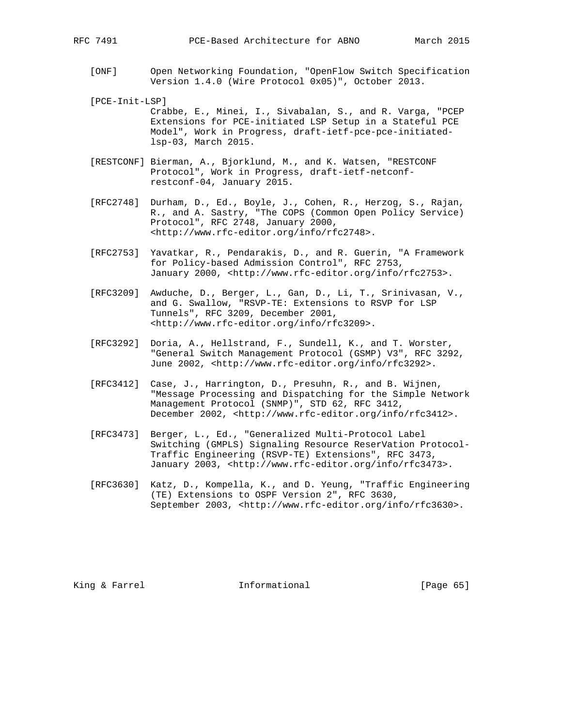- [ONF] Open Networking Foundation, "OpenFlow Switch Specification Version 1.4.0 (Wire Protocol 0x05)", October 2013.
- [PCE-Init-LSP]

 Crabbe, E., Minei, I., Sivabalan, S., and R. Varga, "PCEP Extensions for PCE-initiated LSP Setup in a Stateful PCE Model", Work in Progress, draft-ietf-pce-pce-initiated lsp-03, March 2015.

- [RESTCONF] Bierman, A., Bjorklund, M., and K. Watsen, "RESTCONF Protocol", Work in Progress, draft-ietf-netconf restconf-04, January 2015.
- [RFC2748] Durham, D., Ed., Boyle, J., Cohen, R., Herzog, S., Rajan, R., and A. Sastry, "The COPS (Common Open Policy Service) Protocol", RFC 2748, January 2000, <http://www.rfc-editor.org/info/rfc2748>.
- [RFC2753] Yavatkar, R., Pendarakis, D., and R. Guerin, "A Framework for Policy-based Admission Control", RFC 2753, January 2000, <http://www.rfc-editor.org/info/rfc2753>.
- [RFC3209] Awduche, D., Berger, L., Gan, D., Li, T., Srinivasan, V., and G. Swallow, "RSVP-TE: Extensions to RSVP for LSP Tunnels", RFC 3209, December 2001, <http://www.rfc-editor.org/info/rfc3209>.
- [RFC3292] Doria, A., Hellstrand, F., Sundell, K., and T. Worster, "General Switch Management Protocol (GSMP) V3", RFC 3292, June 2002, <http://www.rfc-editor.org/info/rfc3292>.
- [RFC3412] Case, J., Harrington, D., Presuhn, R., and B. Wijnen, "Message Processing and Dispatching for the Simple Network Management Protocol (SNMP)", STD 62, RFC 3412, December 2002, <http://www.rfc-editor.org/info/rfc3412>.
- [RFC3473] Berger, L., Ed., "Generalized Multi-Protocol Label Switching (GMPLS) Signaling Resource ReserVation Protocol- Traffic Engineering (RSVP-TE) Extensions", RFC 3473, January 2003, <http://www.rfc-editor.org/info/rfc3473>.
- [RFC3630] Katz, D., Kompella, K., and D. Yeung, "Traffic Engineering (TE) Extensions to OSPF Version 2", RFC 3630, September 2003, <http://www.rfc-editor.org/info/rfc3630>.

King & Farrel **Informational** [Page 65]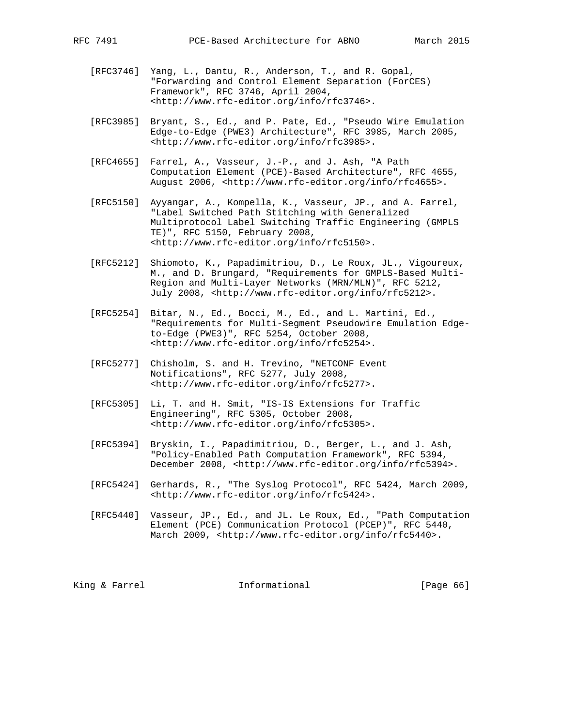- [RFC3746] Yang, L., Dantu, R., Anderson, T., and R. Gopal, "Forwarding and Control Element Separation (ForCES) Framework", RFC 3746, April 2004, <http://www.rfc-editor.org/info/rfc3746>.
- [RFC3985] Bryant, S., Ed., and P. Pate, Ed., "Pseudo Wire Emulation Edge-to-Edge (PWE3) Architecture", RFC 3985, March 2005, <http://www.rfc-editor.org/info/rfc3985>.
- [RFC4655] Farrel, A., Vasseur, J.-P., and J. Ash, "A Path Computation Element (PCE)-Based Architecture", RFC 4655, August 2006, <http://www.rfc-editor.org/info/rfc4655>.
- [RFC5150] Ayyangar, A., Kompella, K., Vasseur, JP., and A. Farrel, "Label Switched Path Stitching with Generalized Multiprotocol Label Switching Traffic Engineering (GMPLS TE)", RFC 5150, February 2008, <http://www.rfc-editor.org/info/rfc5150>.
- [RFC5212] Shiomoto, K., Papadimitriou, D., Le Roux, JL., Vigoureux, M., and D. Brungard, "Requirements for GMPLS-Based Multi- Region and Multi-Layer Networks (MRN/MLN)", RFC 5212, July 2008, <http://www.rfc-editor.org/info/rfc5212>.
- [RFC5254] Bitar, N., Ed., Bocci, M., Ed., and L. Martini, Ed., "Requirements for Multi-Segment Pseudowire Emulation Edge to-Edge (PWE3)", RFC 5254, October 2008, <http://www.rfc-editor.org/info/rfc5254>.
- [RFC5277] Chisholm, S. and H. Trevino, "NETCONF Event Notifications", RFC 5277, July 2008, <http://www.rfc-editor.org/info/rfc5277>.
- [RFC5305] Li, T. and H. Smit, "IS-IS Extensions for Traffic Engineering", RFC 5305, October 2008, <http://www.rfc-editor.org/info/rfc5305>.
- [RFC5394] Bryskin, I., Papadimitriou, D., Berger, L., and J. Ash, "Policy-Enabled Path Computation Framework", RFC 5394, December 2008, <http://www.rfc-editor.org/info/rfc5394>.
- [RFC5424] Gerhards, R., "The Syslog Protocol", RFC 5424, March 2009, <http://www.rfc-editor.org/info/rfc5424>.
- [RFC5440] Vasseur, JP., Ed., and JL. Le Roux, Ed., "Path Computation Element (PCE) Communication Protocol (PCEP)", RFC 5440, March 2009, <http://www.rfc-editor.org/info/rfc5440>.

King & Farrel **Informational** [Page 66]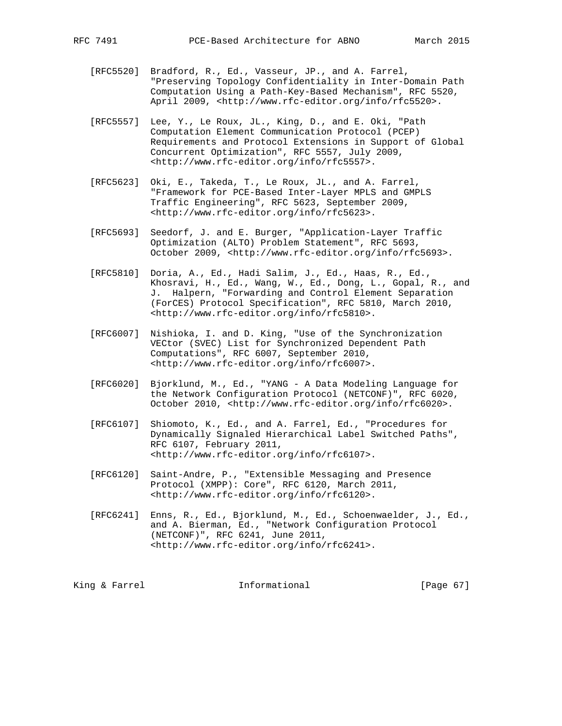- [RFC5520] Bradford, R., Ed., Vasseur, JP., and A. Farrel, "Preserving Topology Confidentiality in Inter-Domain Path Computation Using a Path-Key-Based Mechanism", RFC 5520, April 2009, <http://www.rfc-editor.org/info/rfc5520>.
- [RFC5557] Lee, Y., Le Roux, JL., King, D., and E. Oki, "Path Computation Element Communication Protocol (PCEP) Requirements and Protocol Extensions in Support of Global Concurrent Optimization", RFC 5557, July 2009, <http://www.rfc-editor.org/info/rfc5557>.
- [RFC5623] Oki, E., Takeda, T., Le Roux, JL., and A. Farrel, "Framework for PCE-Based Inter-Layer MPLS and GMPLS Traffic Engineering", RFC 5623, September 2009, <http://www.rfc-editor.org/info/rfc5623>.
- [RFC5693] Seedorf, J. and E. Burger, "Application-Layer Traffic Optimization (ALTO) Problem Statement", RFC 5693, October 2009, <http://www.rfc-editor.org/info/rfc5693>.
- [RFC5810] Doria, A., Ed., Hadi Salim, J., Ed., Haas, R., Ed., Khosravi, H., Ed., Wang, W., Ed., Dong, L., Gopal, R., and J. Halpern, "Forwarding and Control Element Separation (ForCES) Protocol Specification", RFC 5810, March 2010, <http://www.rfc-editor.org/info/rfc5810>.
- [RFC6007] Nishioka, I. and D. King, "Use of the Synchronization VECtor (SVEC) List for Synchronized Dependent Path Computations", RFC 6007, September 2010, <http://www.rfc-editor.org/info/rfc6007>.
- [RFC6020] Bjorklund, M., Ed., "YANG A Data Modeling Language for the Network Configuration Protocol (NETCONF)", RFC 6020, October 2010, <http://www.rfc-editor.org/info/rfc6020>.
- [RFC6107] Shiomoto, K., Ed., and A. Farrel, Ed., "Procedures for Dynamically Signaled Hierarchical Label Switched Paths", RFC 6107, February 2011, <http://www.rfc-editor.org/info/rfc6107>.
- [RFC6120] Saint-Andre, P., "Extensible Messaging and Presence Protocol (XMPP): Core", RFC 6120, March 2011, <http://www.rfc-editor.org/info/rfc6120>.
- [RFC6241] Enns, R., Ed., Bjorklund, M., Ed., Schoenwaelder, J., Ed., and A. Bierman, Ed., "Network Configuration Protocol (NETCONF)", RFC 6241, June 2011, <http://www.rfc-editor.org/info/rfc6241>.

King & Farrel **Informational** [Page 67]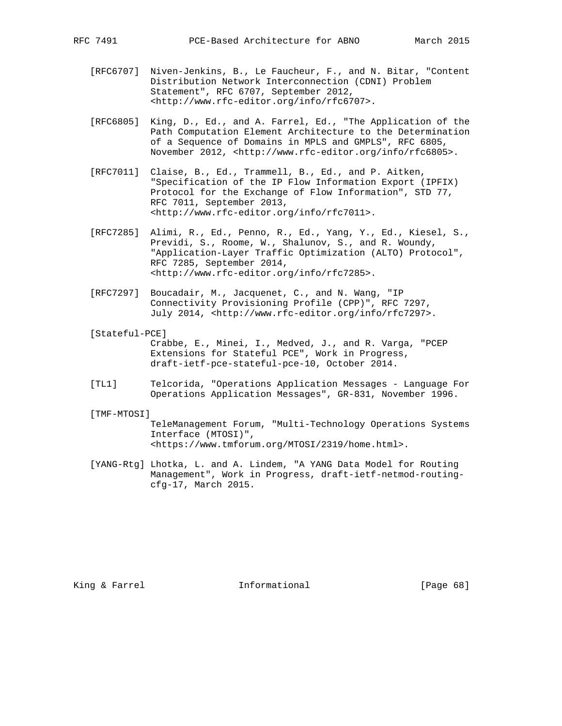- [RFC6707] Niven-Jenkins, B., Le Faucheur, F., and N. Bitar, "Content Distribution Network Interconnection (CDNI) Problem Statement", RFC 6707, September 2012, <http://www.rfc-editor.org/info/rfc6707>.
- [RFC6805] King, D., Ed., and A. Farrel, Ed., "The Application of the Path Computation Element Architecture to the Determination of a Sequence of Domains in MPLS and GMPLS", RFC 6805, November 2012, <http://www.rfc-editor.org/info/rfc6805>.
- [RFC7011] Claise, B., Ed., Trammell, B., Ed., and P. Aitken, "Specification of the IP Flow Information Export (IPFIX) Protocol for the Exchange of Flow Information", STD 77, RFC 7011, September 2013, <http://www.rfc-editor.org/info/rfc7011>.
- [RFC7285] Alimi, R., Ed., Penno, R., Ed., Yang, Y., Ed., Kiesel, S., Previdi, S., Roome, W., Shalunov, S., and R. Woundy, "Application-Layer Traffic Optimization (ALTO) Protocol", RFC 7285, September 2014, <http://www.rfc-editor.org/info/rfc7285>.
- [RFC7297] Boucadair, M., Jacquenet, C., and N. Wang, "IP Connectivity Provisioning Profile (CPP)", RFC 7297, July 2014, <http://www.rfc-editor.org/info/rfc7297>.
- [Stateful-PCE]

 Crabbe, E., Minei, I., Medved, J., and R. Varga, "PCEP Extensions for Stateful PCE", Work in Progress, draft-ietf-pce-stateful-pce-10, October 2014.

 [TL1] Telcorida, "Operations Application Messages - Language For Operations Application Messages", GR-831, November 1996.

[TMF-MTOSI]

 TeleManagement Forum, "Multi-Technology Operations Systems Interface (MTOSI)", <https://www.tmforum.org/MTOSI/2319/home.html>.

 [YANG-Rtg] Lhotka, L. and A. Lindem, "A YANG Data Model for Routing Management", Work in Progress, draft-ietf-netmod-routing cfg-17, March 2015.

King & Farrel **Informational** [Page 68]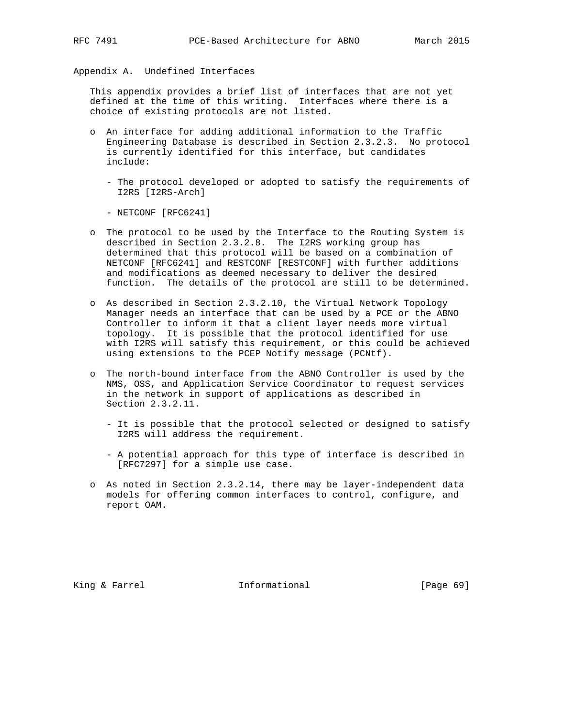Appendix A. Undefined Interfaces

 This appendix provides a brief list of interfaces that are not yet defined at the time of this writing. Interfaces where there is a choice of existing protocols are not listed.

- o An interface for adding additional information to the Traffic Engineering Database is described in Section 2.3.2.3. No protocol is currently identified for this interface, but candidates include:
	- The protocol developed or adopted to satisfy the requirements of I2RS [I2RS-Arch]
	- NETCONF [RFC6241]
- o The protocol to be used by the Interface to the Routing System is described in Section 2.3.2.8. The I2RS working group has determined that this protocol will be based on a combination of NETCONF [RFC6241] and RESTCONF [RESTCONF] with further additions and modifications as deemed necessary to deliver the desired function. The details of the protocol are still to be determined.
- o As described in Section 2.3.2.10, the Virtual Network Topology Manager needs an interface that can be used by a PCE or the ABNO Controller to inform it that a client layer needs more virtual topology. It is possible that the protocol identified for use with I2RS will satisfy this requirement, or this could be achieved using extensions to the PCEP Notify message (PCNtf).
- o The north-bound interface from the ABNO Controller is used by the NMS, OSS, and Application Service Coordinator to request services in the network in support of applications as described in Section 2.3.2.11.
	- It is possible that the protocol selected or designed to satisfy I2RS will address the requirement.
	- A potential approach for this type of interface is described in [RFC7297] for a simple use case.
- o As noted in Section 2.3.2.14, there may be layer-independent data models for offering common interfaces to control, configure, and report OAM.

King & Farrel **Informational** [Page 69]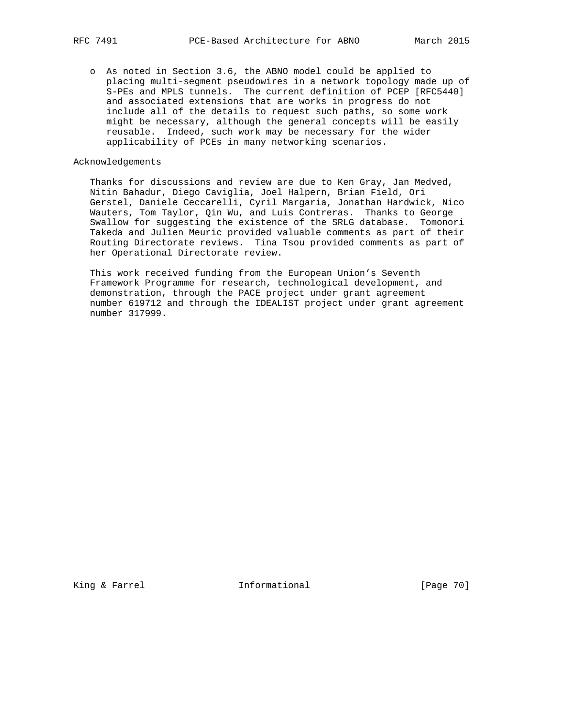o As noted in Section 3.6, the ABNO model could be applied to placing multi-segment pseudowires in a network topology made up of S-PEs and MPLS tunnels. The current definition of PCEP [RFC5440] and associated extensions that are works in progress do not include all of the details to request such paths, so some work might be necessary, although the general concepts will be easily reusable. Indeed, such work may be necessary for the wider applicability of PCEs in many networking scenarios.

#### Acknowledgements

 Thanks for discussions and review are due to Ken Gray, Jan Medved, Nitin Bahadur, Diego Caviglia, Joel Halpern, Brian Field, Ori Gerstel, Daniele Ceccarelli, Cyril Margaria, Jonathan Hardwick, Nico Wauters, Tom Taylor, Qin Wu, and Luis Contreras. Thanks to George Swallow for suggesting the existence of the SRLG database. Tomonori Takeda and Julien Meuric provided valuable comments as part of their Routing Directorate reviews. Tina Tsou provided comments as part of her Operational Directorate review.

 This work received funding from the European Union's Seventh Framework Programme for research, technological development, and demonstration, through the PACE project under grant agreement number 619712 and through the IDEALIST project under grant agreement number 317999.

King & Farrel **Informational** [Page 70]